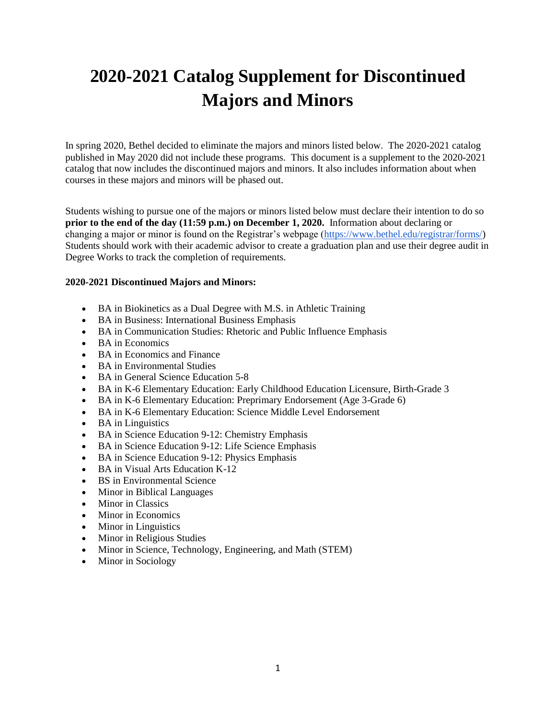# **2020-2021 Catalog Supplement for Discontinued Majors and Minors**

In spring 2020, Bethel decided to eliminate the majors and minors listed below. The 2020-2021 catalog published in May 2020 did not include these programs. This document is a supplement to the 2020-2021 catalog that now includes the discontinued majors and minors. It also includes information about when courses in these majors and minors will be phased out.

Students wishing to pursue one of the majors or minors listed below must declare their intention to do so **prior to the end of the day (11:59 p.m.) on December 1, 2020.** Information about declaring or changing a major or minor is found on the Registrar's webpage [\(https://www.bethel.edu/registrar/forms/\)](https://www.bethel.edu/registrar/forms/) Students should work with their academic advisor to create a graduation plan and use their degree audit in Degree Works to track the completion of requirements.

### **2020-2021 Discontinued Majors and Minors:**

- BA in Biokinetics as a Dual Degree with M.S. in Athletic Training
- BA in Business: International Business Emphasis
- BA in Communication Studies: Rhetoric and Public Influence Emphasis
- BA in Economics
- BA in Economics and Finance
- BA in Environmental Studies
- BA in General Science Education 5-8
- BA in K-6 Elementary Education: Early Childhood Education Licensure, Birth-Grade 3
- BA in K-6 Elementary Education: Preprimary Endorsement (Age 3-Grade 6)
- BA in K-6 Elementary Education: Science Middle Level Endorsement
- BA in Linguistics
- BA in Science Education 9-12: Chemistry Emphasis
- BA in Science Education 9-12: Life Science Emphasis
- BA in Science Education 9-12: Physics Emphasis
- BA in Visual Arts Education K-12
- BS in Environmental Science
- Minor in Biblical Languages
- Minor in Classics
- Minor in Economics
- Minor in Linguistics
- Minor in Religious Studies
- Minor in Science, Technology, Engineering, and Math (STEM)
- Minor in Sociology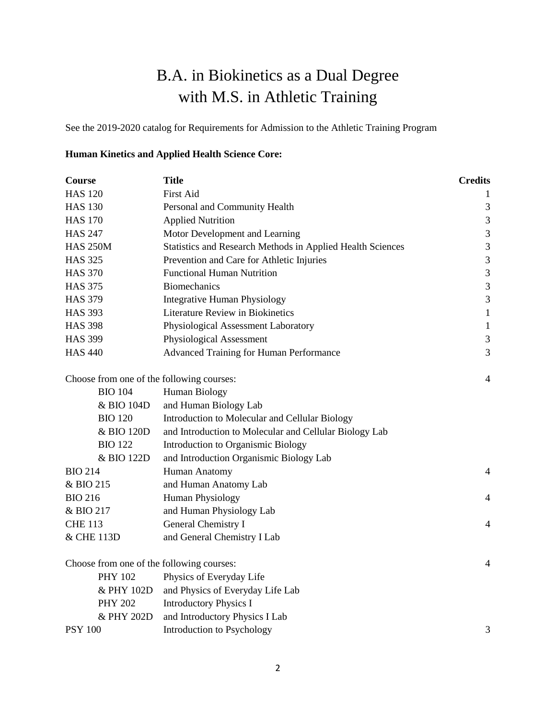# B.A. in Biokinetics as a Dual Degree with M.S. in Athletic Training

See the 2019-2020 catalog for Requirements for Admission to the Athletic Training Program

### **Human Kinetics and Applied Health Science Core:**

| <b>Course</b>                             | <b>Title</b>                                               | <b>Credits</b>              |
|-------------------------------------------|------------------------------------------------------------|-----------------------------|
| <b>HAS 120</b>                            | First Aid                                                  | 1                           |
| <b>HAS 130</b>                            | Personal and Community Health                              | 3                           |
| <b>HAS 170</b>                            | <b>Applied Nutrition</b>                                   | $\mathfrak{Z}$              |
| <b>HAS 247</b>                            | Motor Development and Learning                             | 3                           |
| <b>HAS 250M</b>                           | Statistics and Research Methods in Applied Health Sciences | $\mathfrak{Z}$              |
| <b>HAS 325</b>                            | Prevention and Care for Athletic Injuries                  | $\mathfrak{Z}$              |
| <b>HAS 370</b>                            | <b>Functional Human Nutrition</b>                          | $\mathfrak{Z}$              |
| <b>HAS 375</b>                            | <b>Biomechanics</b>                                        | $\mathfrak{Z}$              |
| <b>HAS 379</b>                            | <b>Integrative Human Physiology</b>                        | $\ensuremath{\mathfrak{Z}}$ |
| <b>HAS 393</b>                            | <b>Literature Review in Biokinetics</b>                    | $1\,$                       |
| <b>HAS 398</b>                            | Physiological Assessment Laboratory                        | $\mathbf{1}$                |
| <b>HAS 399</b>                            | Physiological Assessment                                   | $\mathfrak 3$               |
| <b>HAS 440</b>                            | <b>Advanced Training for Human Performance</b>             | 3                           |
| Choose from one of the following courses: |                                                            | 4                           |
| <b>BIO 104</b>                            | Human Biology                                              |                             |
| & BIO 104D                                | and Human Biology Lab                                      |                             |
| <b>BIO 120</b>                            | Introduction to Molecular and Cellular Biology             |                             |
| & BIO 120D                                | and Introduction to Molecular and Cellular Biology Lab     |                             |
| <b>BIO 122</b>                            | Introduction to Organismic Biology                         |                             |
| & BIO 122D                                | and Introduction Organismic Biology Lab                    |                             |
| <b>BIO 214</b>                            | Human Anatomy                                              | 4                           |
| & BIO 215                                 | and Human Anatomy Lab                                      |                             |
| <b>BIO 216</b>                            | <b>Human Physiology</b>                                    | 4                           |
| & BIO 217                                 | and Human Physiology Lab                                   |                             |
| <b>CHE 113</b>                            | General Chemistry I                                        | 4                           |
| & CHE 113D                                | and General Chemistry I Lab                                |                             |
| Choose from one of the following courses: |                                                            | $\overline{4}$              |
| <b>PHY 102</b>                            | Physics of Everyday Life                                   |                             |
| & PHY 102D                                | and Physics of Everyday Life Lab                           |                             |
| <b>PHY 202</b>                            | <b>Introductory Physics I</b>                              |                             |
| & PHY 202D                                | and Introductory Physics I Lab                             |                             |
| <b>PSY 100</b>                            | Introduction to Psychology                                 | 3                           |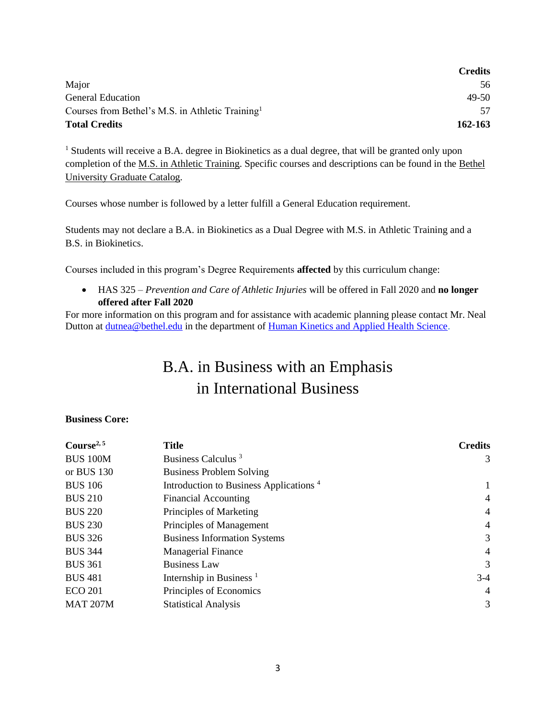|                                                              | <b>Credits</b> |
|--------------------------------------------------------------|----------------|
| Major                                                        | 56             |
| General Education                                            | 49-50          |
| Courses from Bethel's M.S. in Athletic Training <sup>1</sup> | 57             |
| <b>Total Credits</b>                                         | 162-163        |

<sup>1</sup> Students will receive a B.A. degree in Biokinetics as a dual degree, that will be granted only upon completion of the M.S. in Athletic [Training.](https://catalog.bethel.edu/archive/2019-2020/graduate/academic-programs-disciplines/athletic-training/#text) Specific courses and descriptions can be found in the [Bethel](https://catalog.bethel.edu/archive/2019-2020/graduate/) [University](https://catalog.bethel.edu/archive/2019-2020/graduate/) Graduate Catalog.

Courses whose number is followed by a letter fulfill a General Education requirement.

Students may not declare a B.A. in Biokinetics as a Dual Degree with M.S. in Athletic Training and a B.S. in Biokinetics.

Courses included in this program's Degree Requirements **affected** by this curriculum change:

• HAS 325 – *Prevention and Care of Athletic Injuries* will be offered in Fall 2020 and **no longer offered after Fall 2020**

For more information on this program and for assistance with academic planning please contact Mr. Neal Dutton at **dutnea@bethel.edu** in the department of **Human Kinetics and Applied Health Science**.

# B.A. in Business with an Emphasis in International Business

### **Business Core:**

| <b>Title</b>                                       | <b>Credits</b> |
|----------------------------------------------------|----------------|
| Business Calculus <sup>3</sup>                     | 3              |
| <b>Business Problem Solving</b>                    |                |
| Introduction to Business Applications <sup>4</sup> |                |
| <b>Financial Accounting</b>                        | 4              |
| Principles of Marketing                            | 4              |
| Principles of Management                           | 4              |
| <b>Business Information Systems</b>                | 3              |
| <b>Managerial Finance</b>                          | 4              |
| <b>Business Law</b>                                | 3              |
| Internship in Business <sup><math>1</math></sup>   | $3-4$          |
| Principles of Economics                            | 4              |
| <b>Statistical Analysis</b>                        | 3              |
|                                                    |                |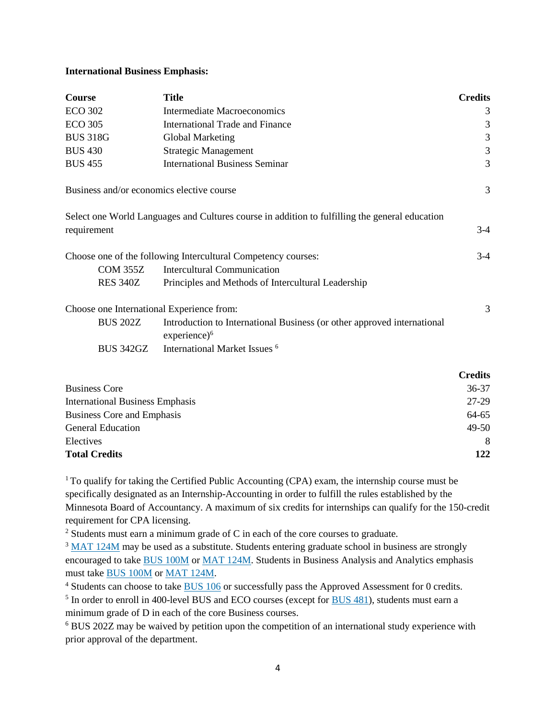#### **International Business Emphasis:**

| Course                                    | <b>Title</b>                                                                                   | <b>Credits</b> |
|-------------------------------------------|------------------------------------------------------------------------------------------------|----------------|
| <b>ECO 302</b>                            | <b>Intermediate Macroeconomics</b>                                                             | 3              |
| <b>ECO 305</b>                            | <b>International Trade and Finance</b>                                                         | 3              |
| <b>BUS 318G</b>                           | Global Marketing                                                                               | 3              |
| <b>BUS 430</b>                            | <b>Strategic Management</b>                                                                    | 3              |
| <b>BUS 455</b>                            | <b>International Business Seminar</b>                                                          | 3              |
| Business and/or economics elective course |                                                                                                | 3              |
|                                           | Select one World Languages and Cultures course in addition to fulfilling the general education |                |
| requirement                               |                                                                                                | $3-4$          |
|                                           | Choose one of the following Intercultural Competency courses:                                  | $3-4$          |
| <b>COM 355Z</b>                           | <b>Intercultural Communication</b>                                                             |                |
| <b>RES 340Z</b>                           | Principles and Methods of Intercultural Leadership                                             |                |
| Choose one International Experience from: |                                                                                                | 3              |
| <b>BUS 202Z</b>                           | Introduction to International Business (or other approved international<br>$experience)^6$     |                |
| <b>BUS 342GZ</b>                          | International Market Issues <sup>6</sup>                                                       |                |
|                                           |                                                                                                | <b>Credits</b> |
| <b>Business Core</b>                      |                                                                                                | $36-37$        |

| <b>Business Core</b>                   | $36 - 37$ |
|----------------------------------------|-----------|
| <b>International Business Emphasis</b> | 27-29     |
| Business Core and Emphasis             | 64-65     |
| <b>General Education</b>               | $49-50$   |
| Electives                              | 8         |
| <b>Total Credits</b>                   | 122       |

 $1$ To qualify for taking the Certified Public Accounting (CPA) exam, the internship course must be specifically designated as an Internship-Accounting in order to fulfill the rules established by the Minnesota Board of Accountancy. A maximum of six credits for internships can qualify for the 150-credit requirement for CPA licensing.

<sup>2</sup> Students must earn a minimum grade of C in each of the core courses to graduate.

<sup>3</sup> MAT [124M](https://catalog.bethel.edu/search/?P=MAT%20124M) may be used as a substitute. Students entering graduate school in business are strongly encouraged to take BUS [100M](https://catalog.bethel.edu/search/?P=BUS%20100M) or MAT [124M.](https://catalog.bethel.edu/search/?P=MAT%20124M) Students in Business Analysis and Analytics emphasis must take BUS [100M](https://catalog.bethel.edu/search/?P=BUS%20100M) or MAT [124M.](https://catalog.bethel.edu/search/?P=MAT%20124M)

<sup>4</sup> Students can choose to take [BUS](https://catalog.bethel.edu/search/?P=BUS%20106) 106 or successfully pass the Approved Assessment for 0 credits.

<sup>5</sup> In order to enroll in 400-level [BUS](https://catalog.bethel.edu/search/?P=BUS%20481) and ECO courses (except for **BUS 481**), students must earn a minimum grade of D in each of the core Business courses.

<sup>6</sup> BUS 202Z may be waived by petition upon the competition of an international study experience with prior approval of the department.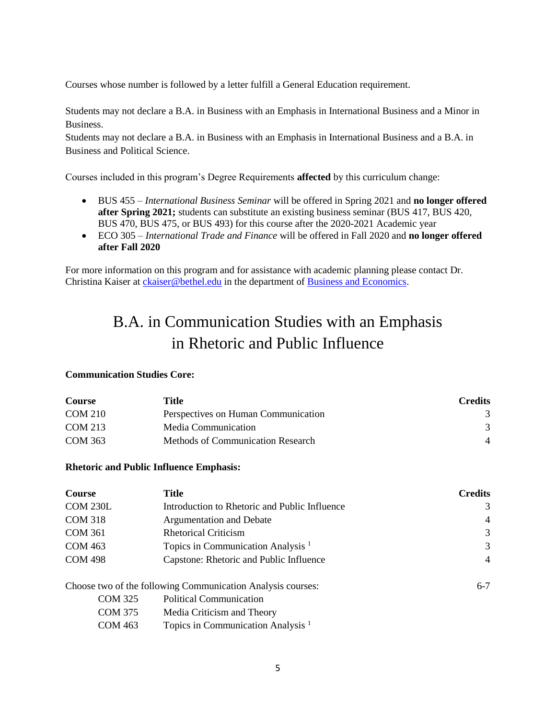Courses whose number is followed by a letter fulfill a General Education requirement.

Students may not declare a B.A. in Business with an Emphasis in International Business and a Minor in Business.

Students may not declare a B.A. in Business with an Emphasis in International Business and a B.A. in Business and Political Science.

Courses included in this program's Degree Requirements **affected** by this curriculum change:

- BUS 455 *International Business Seminar* will be offered in Spring 2021 and **no longer offered after Spring 2021;** students can substitute an existing business seminar (BUS 417, BUS 420, BUS 470, BUS 475, or BUS 493) for this course after the 2020-2021 Academic year
- ECO 305 *International Trade and Finance* will be offered in Fall 2020 and **no longer offered after Fall 2020**

For more information on this program and for assistance with academic planning please contact Dr. Christina Kaiser at [ckaiser@bethel.edu](mailto:ckaiser@bethel.edu) in the department of [Business and Economics.](https://www.bethel.edu/undergrad/academics/business-economics/)

# B.A. in Communication Studies with an Emphasis in Rhetoric and Public Influence

#### **Communication Studies Core:**

| <b>Course</b>  | Title                               | <b>Credits</b> |
|----------------|-------------------------------------|----------------|
| <b>COM 210</b> | Perspectives on Human Communication | 3              |
| <b>COM 213</b> | Media Communication                 | $\mathcal{R}$  |
| COM 363        | Methods of Communication Research   | $\overline{4}$ |

#### **Rhetoric and Public Influence Emphasis:**

| <b>Course</b>   | Title                                                       | <b>Credits</b> |
|-----------------|-------------------------------------------------------------|----------------|
| <b>COM 230L</b> | Introduction to Rhetoric and Public Influence               | 3              |
| <b>COM 318</b>  | Argumentation and Debate                                    | $\overline{4}$ |
| <b>COM 361</b>  | <b>Rhetorical Criticism</b>                                 | 3              |
| <b>COM 463</b>  | Topics in Communication Analysis <sup>1</sup>               | 3              |
| <b>COM 498</b>  | Capstone: Rhetoric and Public Influence                     | $\overline{4}$ |
|                 | Choose two of the following Communication Analysis courses: | $6 - 7$        |
| <b>COM 325</b>  | <b>Political Communication</b>                              |                |
| <b>COM 375</b>  | Media Criticism and Theory                                  |                |
| <b>COM 463</b>  | Topics in Communication Analysis <sup>1</sup>               |                |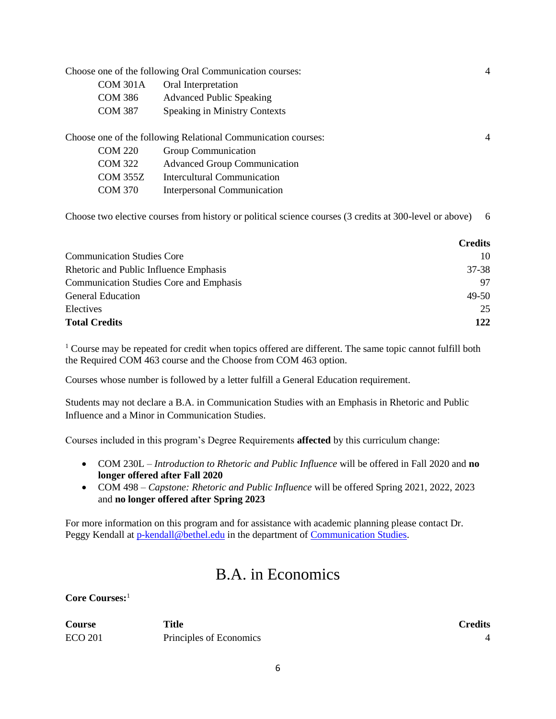|                 | Choose one of the following Oral Communication courses:       | 4 |
|-----------------|---------------------------------------------------------------|---|
| <b>COM 301A</b> | Oral Interpretation                                           |   |
| <b>COM 386</b>  | <b>Advanced Public Speaking</b>                               |   |
| <b>COM 387</b>  | <b>Speaking in Ministry Contexts</b>                          |   |
|                 |                                                               |   |
|                 | Choose one of the following Relational Communication courses: | 4 |
| <b>COM 220</b>  | Group Communication                                           |   |
| <b>COM 322</b>  | <b>Advanced Group Communication</b>                           |   |
| <b>COM 355Z</b> | <b>Intercultural Communication</b>                            |   |
| <b>COM 370</b>  | Interpersonal Communication                                   |   |
|                 |                                                               |   |

Choose two elective courses from history or political science courses (3 credits at 300-level or above) 6

|                                                | <b>Credits</b> |
|------------------------------------------------|----------------|
| <b>Communication Studies Core</b>              | 10             |
| Rhetoric and Public Influence Emphasis         | 37-38          |
| <b>Communication Studies Core and Emphasis</b> | 97             |
| <b>General Education</b>                       | $49-50$        |
| Electives                                      | 25             |
| <b>Total Credits</b>                           | 122            |

<sup>1</sup> Course may be repeated for credit when topics offered are different. The same topic cannot fulfill both the Required COM 463 course and the Choose from COM 463 option.

Courses whose number is followed by a letter fulfill a General Education requirement.

Students may not declare a B.A. in Communication Studies with an Emphasis in Rhetoric and Public Influence and a Minor in Communication Studies.

Courses included in this program's Degree Requirements **affected** by this curriculum change:

- COM 230L *Introduction to Rhetoric and Public Influence* will be offered in Fall 2020 and **no longer offered after Fall 2020**
- COM 498 *Capstone: Rhetoric and Public Influence* will be offered Spring 2021, 2022, 2023 and **no longer offered after Spring 2023**

For more information on this program and for assistance with academic planning please contact Dr. Peggy Kendall at [p-kendall@bethel.edu](mailto:p-kendall@bethel.edu) in the department of [Communication Studies.](https://www.bethel.edu/undergrad/academics/communication/)

## B.A. in Economics

**Core Courses:**<sup>1</sup>

| <b>Course</b>  | Title                   | Credits |
|----------------|-------------------------|---------|
| <b>ECO 201</b> | Principles of Economics |         |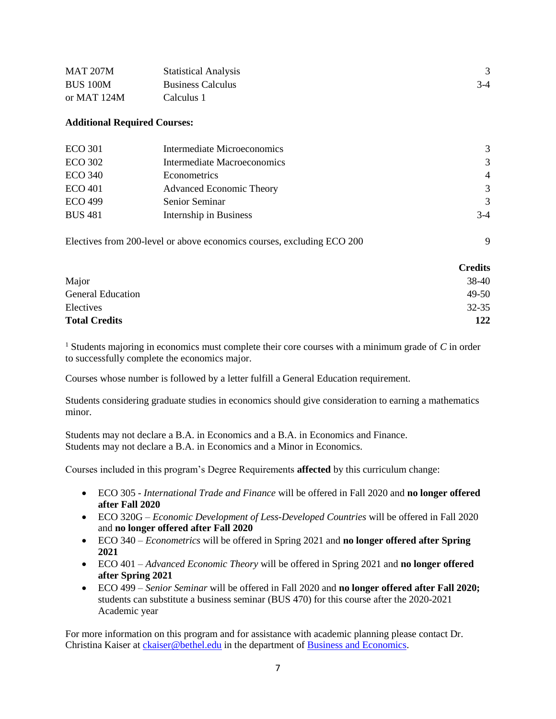| <b>MAT 207M</b> | <b>Statistical Analysis</b> |       |
|-----------------|-----------------------------|-------|
| <b>BUS 100M</b> | <b>Business Calculus</b>    | $3-4$ |
| or MAT $124M$   | Calculus 1                  |       |

#### **Additional Required Courses:**

| <b>ECO 301</b> | Intermediate Microeconomics     | 3              |
|----------------|---------------------------------|----------------|
| <b>ECO 302</b> | Intermediate Macroeconomics     | 3              |
| <b>ECO 340</b> | Econometrics                    | $\overline{4}$ |
| <b>ECO</b> 401 | <b>Advanced Economic Theory</b> | 3              |
| <b>ECO 499</b> | Senior Seminar                  | $\mathcal{R}$  |
| <b>BUS 481</b> | Internship in Business          | $3-4$          |
|                |                                 |                |

| Electives from 200-level or above economics courses, excluding ECO 200 |  |
|------------------------------------------------------------------------|--|
|                                                                        |  |

|                          | <b>Credits</b> |
|--------------------------|----------------|
| Major                    | 38-40          |
| <b>General Education</b> | 49-50          |
| Electives                | $32 - 35$      |
| <b>Total Credits</b>     | 122            |

<sup>1</sup> Students majoring in economics must complete their core courses with a minimum grade of *C* in order to successfully complete the economics major.

Courses whose number is followed by a letter fulfill a General Education requirement.

Students considering graduate studies in economics should give consideration to earning a mathematics minor.

Students may not declare a B.A. in Economics and a B.A. in Economics and Finance. Students may not declare a B.A. in Economics and a Minor in Economics.

Courses included in this program's Degree Requirements **affected** by this curriculum change:

- ECO 305 *International Trade and Finance* will be offered in Fall 2020 and **no longer offered after Fall 2020**
- ECO 320G *Economic Development of Less-Developed Countries* will be offered in Fall 2020 and **no longer offered after Fall 2020**
- ECO 340 *Econometrics* will be offered in Spring 2021 and **no longer offered after Spring 2021**
- ECO 401 *Advanced Economic Theory* will be offered in Spring 2021 and **no longer offered after Spring 2021**
- ECO 499 *Senior Seminar* will be offered in Fall 2020 and **no longer offered after Fall 2020;**  students can substitute a business seminar (BUS 470) for this course after the 2020-2021 Academic year

For more information on this program and for assistance with academic planning please contact Dr. Christina Kaiser at [ckaiser@bethel.edu](mailto:ckaiser@bethel.edu) in the department of [Business and Economics.](https://www.bethel.edu/undergrad/academics/business-economics/)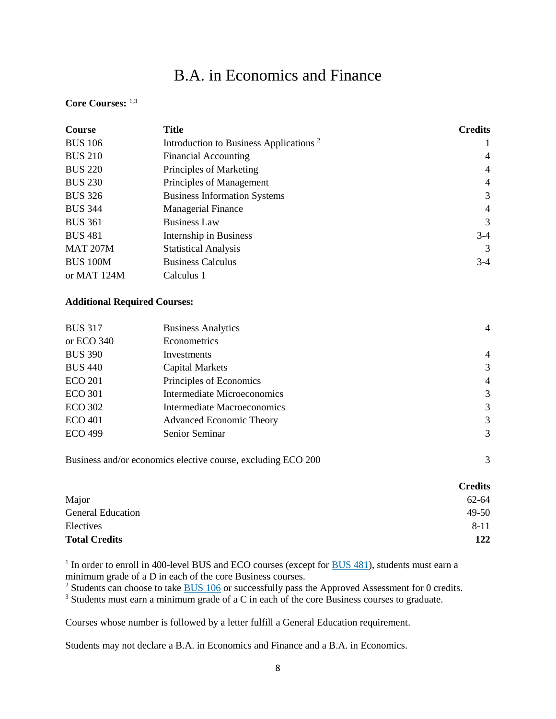# B.A. in Economics and Finance

### **Core Courses:** 1,3

| <b>Course</b>   | <b>Title</b>                                       | <b>Credits</b> |
|-----------------|----------------------------------------------------|----------------|
| <b>BUS 106</b>  | Introduction to Business Applications <sup>2</sup> |                |
| <b>BUS 210</b>  | <b>Financial Accounting</b>                        | $\overline{4}$ |
| <b>BUS 220</b>  | Principles of Marketing                            | 4              |
| <b>BUS 230</b>  | Principles of Management                           | $\overline{4}$ |
| <b>BUS 326</b>  | <b>Business Information Systems</b>                | 3              |
| <b>BUS 344</b>  | <b>Managerial Finance</b>                          | $\overline{4}$ |
| <b>BUS 361</b>  | <b>Business Law</b>                                | 3              |
| <b>BUS 481</b>  | Internship in Business                             | $3-4$          |
| <b>MAT 207M</b> | <b>Statistical Analysis</b>                        | 3              |
| <b>BUS 100M</b> | <b>Business Calculus</b>                           | $3-4$          |
| or MAT 124M     | Calculus 1                                         |                |

#### **Additional Required Courses:**

| <b>BUS 317</b> | <b>Business Analytics</b>       | $\overline{4}$ |
|----------------|---------------------------------|----------------|
| or ECO 340     | Econometrics                    |                |
| <b>BUS 390</b> | Investments                     | $\overline{4}$ |
| <b>BUS 440</b> | <b>Capital Markets</b>          | 3              |
| <b>ECO 201</b> | Principles of Economics         | $\overline{4}$ |
| <b>ECO 301</b> | Intermediate Microeconomics     | 3              |
| <b>ECO 302</b> | Intermediate Macroeconomics     | 3              |
| <b>ECO 401</b> | <b>Advanced Economic Theory</b> | 3              |
| <b>ECO 499</b> | Senior Seminar                  | 3              |
|                |                                 |                |

Business and/or economics elective course, excluding ECO 200 3

|                      | <b>Credits</b> |
|----------------------|----------------|
| Major                | 62-64          |
| General Education    | 49-50          |
| Electives            | $8 - 11$       |
| <b>Total Credits</b> | 122            |

<sup>1</sup> In order to enroll in 400-level [BUS](https://catalog.bethel.edu/search/?P=BUS%20481) and ECO courses (except for **BUS 481**), students must earn a minimum grade of a D in each of the core Business courses.

<sup>2</sup> Students can choose to take **[BUS](https://catalog.bethel.edu/search/?P=BUS%20106) 106** or successfully pass the Approved Assessment for 0 credits.

<sup>3</sup> Students must earn a minimum grade of a C in each of the core Business courses to graduate.

Courses whose number is followed by a letter fulfill a General Education requirement.

Students may not declare a B.A. in Economics and Finance and a B.A. in Economics.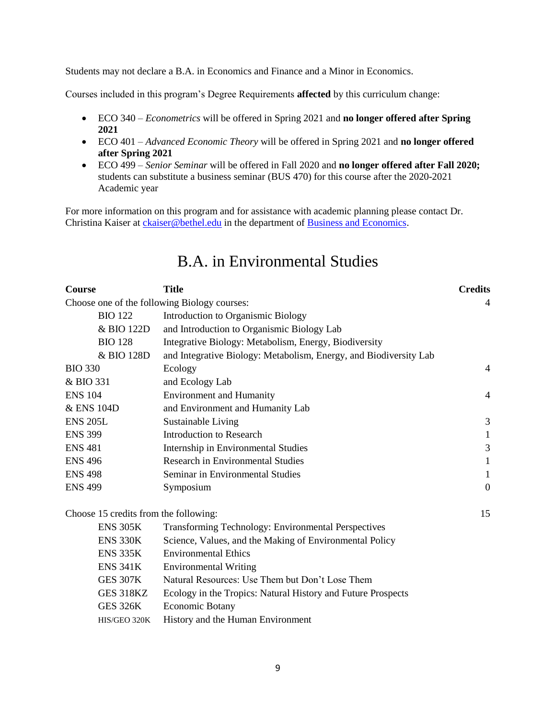Students may not declare a B.A. in Economics and Finance and a Minor in Economics.

Courses included in this program's Degree Requirements **affected** by this curriculum change:

- ECO 340 *Econometrics* will be offered in Spring 2021 and **no longer offered after Spring 2021**
- ECO 401 *Advanced Economic Theory* will be offered in Spring 2021 and **no longer offered after Spring 2021**
- ECO 499 *Senior Seminar* will be offered in Fall 2020 and **no longer offered after Fall 2020;** students can substitute a business seminar (BUS 470) for this course after the 2020-2021 Academic year

For more information on this program and for assistance with academic planning please contact Dr. Christina Kaiser at [ckaiser@bethel.edu](mailto:ckaiser@bethel.edu) in the department of [Business and Economics.](https://www.bethel.edu/undergrad/academics/business-economics/)

| <b>Course</b>                         | <b>Title</b>                                                      | <b>Credits</b>   |
|---------------------------------------|-------------------------------------------------------------------|------------------|
|                                       | Choose one of the following Biology courses:                      | 4                |
| <b>BIO 122</b>                        | Introduction to Organismic Biology                                |                  |
| & BIO 122D                            | and Introduction to Organismic Biology Lab                        |                  |
| <b>BIO 128</b>                        | Integrative Biology: Metabolism, Energy, Biodiversity             |                  |
| & BIO 128D                            | and Integrative Biology: Metabolism, Energy, and Biodiversity Lab |                  |
| <b>BIO 330</b>                        | Ecology                                                           | 4                |
| & BIO 331                             | and Ecology Lab                                                   |                  |
| <b>ENS 104</b>                        | <b>Environment and Humanity</b>                                   | $\overline{4}$   |
| & ENS 104D                            | and Environment and Humanity Lab                                  |                  |
| <b>ENS 205L</b>                       | Sustainable Living                                                | 3                |
| <b>ENS 399</b>                        | <b>Introduction to Research</b>                                   | $\mathbf{1}$     |
| <b>ENS 481</b>                        | Internship in Environmental Studies                               | 3                |
| <b>ENS 496</b>                        | <b>Research in Environmental Studies</b>                          | 1                |
| <b>ENS 498</b>                        | Seminar in Environmental Studies                                  | $\mathbf{1}$     |
| <b>ENS 499</b>                        | Symposium                                                         | $\boldsymbol{0}$ |
| Choose 15 credits from the following: |                                                                   | 15               |
| <b>ENS 305K</b>                       | <b>Transforming Technology: Environmental Perspectives</b>        |                  |
| <b>ENS 330K</b>                       | Science, Values, and the Making of Environmental Policy           |                  |
| <b>ENS 335K</b>                       | <b>Environmental Ethics</b>                                       |                  |
| <b>ENS 341K</b>                       | <b>Environmental Writing</b>                                      |                  |
| <b>GES 307K</b>                       | Natural Resources: Use Them but Don't Lose Them                   |                  |
| GES 318KZ                             | Ecology in the Tropics: Natural History and Future Prospects      |                  |
| <b>GES 326K</b>                       | <b>Economic Botany</b>                                            |                  |
| HIS/GEO 320K                          | History and the Human Environment                                 |                  |

## B.A. in Environmental Studies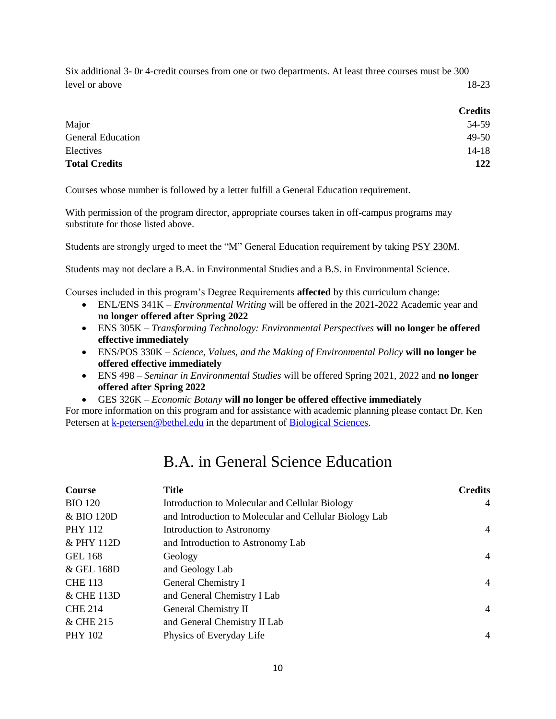Six additional 3- 0r 4-credit courses from one or two departments. At least three courses must be 300 level or above 18-23

|                          | <b>Credits</b> |
|--------------------------|----------------|
| Major                    | 54-59          |
| <b>General Education</b> | 49-50          |
| Electives                | $14 - 18$      |
| <b>Total Credits</b>     | 122            |

Courses whose number is followed by a letter fulfill a General Education requirement.

With permission of the program director, appropriate courses taken in off-campus programs may substitute for those listed above.

Students are strongly urged to meet the "M" General Education requirement by taking PSY [230M.](https://catalog.bethel.edu/search/?P=PSY%20230M)

Students may not declare a B.A. in Environmental Studies and a B.S. in Environmental Science.

Courses included in this program's Degree Requirements **affected** by this curriculum change:

- ENL/ENS 341K *Environmental Writing* will be offered in the 2021-2022 Academic year and **no longer offered after Spring 2022**
- ENS 305K *Transforming Technology: Environmental Perspectives* **will no longer be offered effective immediately**
- ENS/POS 330K *Science, Values, and the Making of Environmental Policy* **will no longer be offered effective immediately**
- ENS 498 *Seminar in Environmental Studies* will be offered Spring 2021, 2022 and **no longer offered after Spring 2022**
- GES 326K *Economic Botany* **will no longer be offered effective immediately**

For more information on this program and for assistance with academic planning please contact Dr. Ken Petersen a[t k-petersen@bethel.edu](mailto:k-petersen@bethel.edu) in the department of [Biological Sciences.](https://www.bethel.edu/undergrad/academics/biology/)

## B.A. in General Science Education

| Course         | <b>Title</b>                                           | <b>Credits</b> |
|----------------|--------------------------------------------------------|----------------|
| <b>BIO 120</b> | Introduction to Molecular and Cellular Biology         | $\overline{4}$ |
| & BIO 120D     | and Introduction to Molecular and Cellular Biology Lab |                |
| <b>PHY 112</b> | Introduction to Astronomy                              | 4              |
| & PHY 112D     | and Introduction to Astronomy Lab                      |                |
| <b>GEL 168</b> | Geology                                                | $\overline{4}$ |
| & GEL 168D     | and Geology Lab                                        |                |
| <b>CHE 113</b> | General Chemistry I                                    | 4              |
| & CHE 113D     | and General Chemistry I Lab                            |                |
| <b>CHE 214</b> | General Chemistry II                                   | $\overline{4}$ |
| & CHE 215      | and General Chemistry II Lab                           |                |
| <b>PHY 102</b> | Physics of Everyday Life                               | $\overline{4}$ |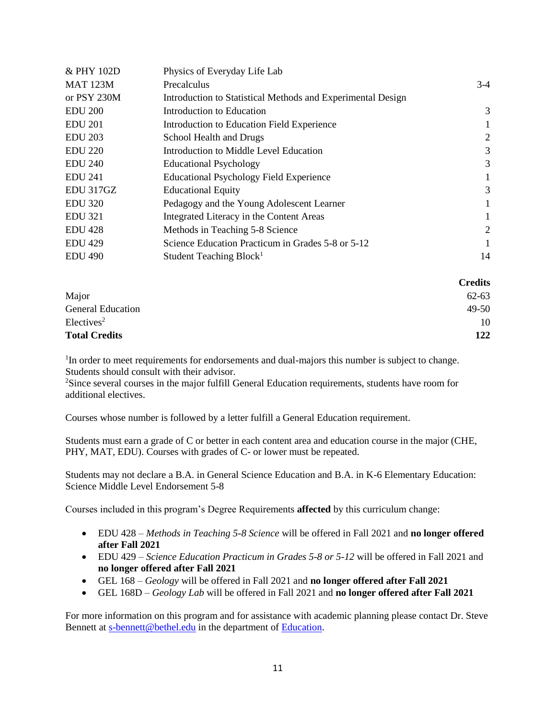| & PHY 102D      | Physics of Everyday Life Lab                                |       |
|-----------------|-------------------------------------------------------------|-------|
| <b>MAT 123M</b> | Precalculus                                                 | $3-4$ |
| or PSY 230M     | Introduction to Statistical Methods and Experimental Design |       |
| <b>EDU 200</b>  | Introduction to Education                                   | 3     |
| <b>EDU 201</b>  | Introduction to Education Field Experience                  |       |
| <b>EDU 203</b>  | School Health and Drugs                                     | 2     |
| <b>EDU 220</b>  | Introduction to Middle Level Education                      | 3     |
| <b>EDU 240</b>  | <b>Educational Psychology</b>                               | 3     |
| <b>EDU 241</b>  | <b>Educational Psychology Field Experience</b>              |       |
| EDU 317GZ       | <b>Educational Equity</b>                                   | 3     |
| <b>EDU 320</b>  | Pedagogy and the Young Adolescent Learner                   |       |
| <b>EDU 321</b>  | Integrated Literacy in the Content Areas                    |       |
| <b>EDU 428</b>  | Methods in Teaching 5-8 Science                             | 2     |
| <b>EDU 429</b>  | Science Education Practicum in Grades 5-8 or 5-12           |       |
| <b>EDU 490</b>  | Student Teaching Block <sup>1</sup>                         | 14    |
|                 |                                                             |       |

|                          | <b>Credits</b> |
|--------------------------|----------------|
| Major                    | $62 - 63$      |
| <b>General Education</b> | 49-50          |
| Electives <sup>2</sup>   | 10             |
| <b>Total Credits</b>     | 122            |

<sup>1</sup>In order to meet requirements for endorsements and dual-majors this number is subject to change. Students should consult with their advisor.

<sup>2</sup>Since several courses in the major fulfill General Education requirements, students have room for additional electives.

Courses whose number is followed by a letter fulfill a General Education requirement.

Students must earn a grade of C or better in each content area and education course in the major (CHE, PHY, MAT, EDU). Courses with grades of C- or lower must be repeated.

Students may not declare a B.A. in General Science Education and B.A. in K-6 Elementary Education: Science Middle Level Endorsement 5-8

Courses included in this program's Degree Requirements **affected** by this curriculum change:

- EDU 428 *Methods in Teaching 5-8 Science* will be offered in Fall 2021 and **no longer offered after Fall 2021**
- EDU 429 *Science Education Practicum in Grades 5-8 or 5-12* will be offered in Fall 2021 and **no longer offered after Fall 2021**
- GEL 168 *Geology* will be offered in Fall 2021 and **no longer offered after Fall 2021**
- GEL 168D *Geology Lab* will be offered in Fall 2021 and **no longer offered after Fall 2021**

For more information on this program and for assistance with academic planning please contact Dr. Steve Bennett at [s-bennett@bethel.edu](mailto:s-bennett@bethel.edu) in the department of [Education.](https://www.bethel.edu/undergrad/academics/education/)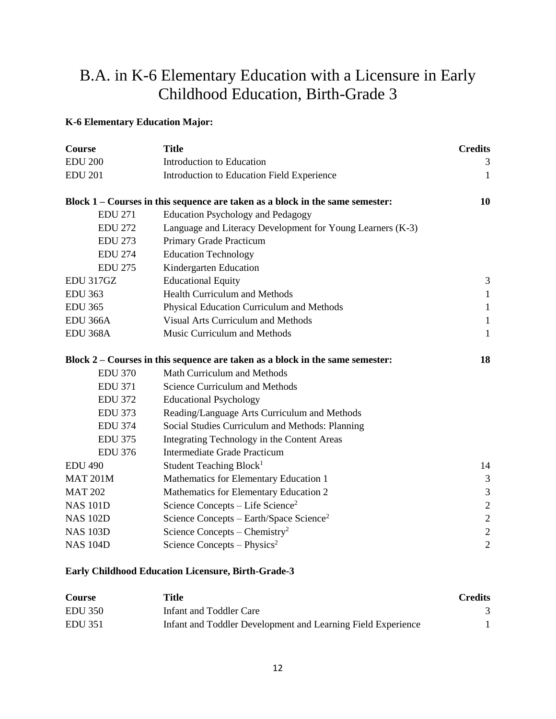# B.A. in K-6 Elementary Education with a Licensure in Early Childhood Education, Birth-Grade 3

### **K-6 Elementary Education Major:**

| <b>Course</b>   | <b>Title</b>                                                                  | <b>Credits</b> |
|-----------------|-------------------------------------------------------------------------------|----------------|
| <b>EDU 200</b>  | Introduction to Education                                                     | 3              |
| <b>EDU 201</b>  | Introduction to Education Field Experience                                    | $\mathbf{1}$   |
|                 | Block 1 – Courses in this sequence are taken as a block in the same semester: | 10             |
| <b>EDU 271</b>  | <b>Education Psychology and Pedagogy</b>                                      |                |
| <b>EDU 272</b>  | Language and Literacy Development for Young Learners (K-3)                    |                |
| <b>EDU 273</b>  | Primary Grade Practicum                                                       |                |
| <b>EDU 274</b>  | <b>Education Technology</b>                                                   |                |
| <b>EDU 275</b>  | Kindergarten Education                                                        |                |
| EDU 317GZ       | <b>Educational Equity</b>                                                     | 3              |
| <b>EDU 363</b>  | <b>Health Curriculum and Methods</b>                                          | $\mathbf{1}$   |
| <b>EDU 365</b>  | Physical Education Curriculum and Methods                                     | $\mathbf{1}$   |
| <b>EDU 366A</b> | Visual Arts Curriculum and Methods                                            | $\mathbf{1}$   |
| <b>EDU 368A</b> | Music Curriculum and Methods                                                  | 1              |
|                 | Block 2 – Courses in this sequence are taken as a block in the same semester: | 18             |
| <b>EDU 370</b>  | Math Curriculum and Methods                                                   |                |
| <b>EDU 371</b>  | <b>Science Curriculum and Methods</b>                                         |                |
| <b>EDU 372</b>  | <b>Educational Psychology</b>                                                 |                |
| <b>EDU 373</b>  | Reading/Language Arts Curriculum and Methods                                  |                |
| <b>EDU 374</b>  | Social Studies Curriculum and Methods: Planning                               |                |
| <b>EDU 375</b>  | Integrating Technology in the Content Areas                                   |                |
| <b>EDU 376</b>  | <b>Intermediate Grade Practicum</b>                                           |                |
| <b>EDU 490</b>  | Student Teaching Block <sup>1</sup>                                           | 14             |
| <b>MAT 201M</b> | Mathematics for Elementary Education 1                                        | 3              |
| <b>MAT 202</b>  | Mathematics for Elementary Education 2                                        | 3              |
| <b>NAS 101D</b> | Science Concepts – Life Science <sup>2</sup>                                  | $\overline{2}$ |
| <b>NAS 102D</b> | Science Concepts – Earth/Space Science <sup>2</sup>                           | $\overline{c}$ |
| <b>NAS 103D</b> | Science Concepts – Chemistry <sup>2</sup>                                     | $\sqrt{2}$     |
| <b>NAS 104D</b> | Science Concepts – Physics <sup>2</sup>                                       | $\overline{c}$ |

### **Early Childhood Education Licensure, Birth-Grade-3**

| Course         | Title                                                        | <b>Credits</b> |
|----------------|--------------------------------------------------------------|----------------|
| <b>EDU 350</b> | Infant and Toddler Care                                      |                |
| EDU 351        | Infant and Toddler Development and Learning Field Experience |                |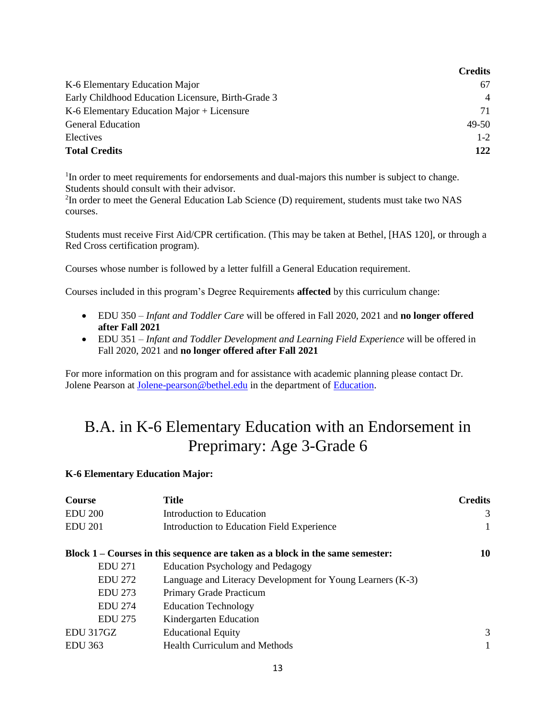|                                                    | <b>Credits</b> |
|----------------------------------------------------|----------------|
| K-6 Elementary Education Major                     | 67             |
| Early Childhood Education Licensure, Birth-Grade 3 | $\overline{4}$ |
| K-6 Elementary Education Major + Licensure         | 71             |
| <b>General Education</b>                           | 49-50          |
| Electives                                          | $1 - 2$        |
| <b>Total Credits</b>                               | 122            |

<sup>1</sup>In order to meet requirements for endorsements and dual-majors this number is subject to change. Students should consult with their advisor.

<sup>2</sup>In order to meet the General Education Lab Science (D) requirement, students must take two NAS courses.

Students must receive First Aid/CPR certification. (This may be taken at Bethel, [HAS 120], or through a Red Cross certification program).

Courses whose number is followed by a letter fulfill a General Education requirement.

Courses included in this program's Degree Requirements **affected** by this curriculum change:

- EDU 350 *Infant and Toddler Care* will be offered in Fall 2020, 2021 and **no longer offered after Fall 2021**
- EDU 351 *Infant and Toddler Development and Learning Field Experience* will be offered in Fall 2020, 2021 and **no longer offered after Fall 2021**

For more information on this program and for assistance with academic planning please contact Dr. Jolene Pearson at [Jolene-pearson@bethel.edu](mailto:Jolene-pearson@bethel.edu) in the department of [Education.](https://www.bethel.edu/undergrad/academics/education/)

# B.A. in K-6 Elementary Education with an Endorsement in Preprimary: Age 3-Grade 6

### **K-6 Elementary Education Major:**

| <b>Course</b>  | <b>Title</b>                                                                    | <b>Credits</b> |
|----------------|---------------------------------------------------------------------------------|----------------|
| <b>EDU 200</b> | Introduction to Education                                                       | 3              |
| <b>EDU 201</b> | Introduction to Education Field Experience                                      |                |
|                | Block $1 -$ Courses in this sequence are taken as a block in the same semester: | 10             |
| <b>EDU 271</b> | <b>Education Psychology and Pedagogy</b>                                        |                |
| <b>EDU 272</b> | Language and Literacy Development for Young Learners (K-3)                      |                |
| <b>EDU 273</b> | Primary Grade Practicum                                                         |                |
| <b>EDU 274</b> | <b>Education Technology</b>                                                     |                |
| <b>EDU 275</b> | Kindergarten Education                                                          |                |
| EDU 317GZ      | <b>Educational Equity</b>                                                       | 3              |
| EDU 363        | <b>Health Curriculum and Methods</b>                                            |                |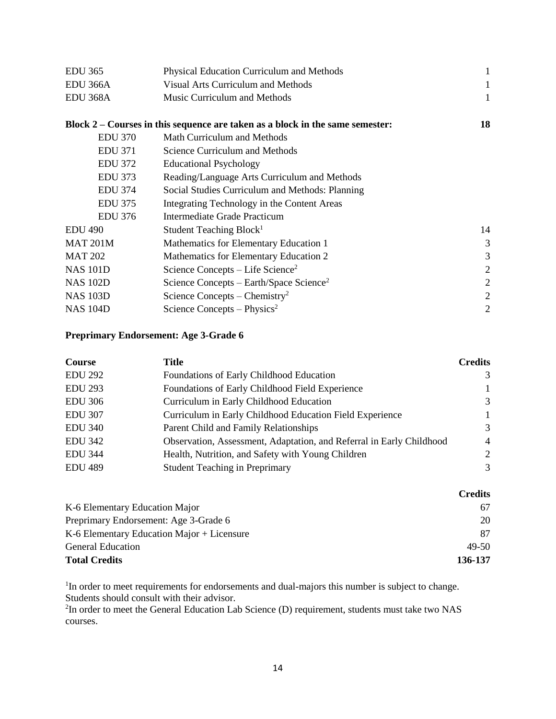| <b>EDU 365</b>  | Physical Education Curriculum and Methods                                     | 1  |
|-----------------|-------------------------------------------------------------------------------|----|
| EDU 366A        | <b>Visual Arts Curriculum and Methods</b>                                     | 1  |
| EDU 368A        | Music Curriculum and Methods                                                  | 1  |
|                 | Block 2 – Courses in this sequence are taken as a block in the same semester: | 18 |
| <b>EDU 370</b>  | Math Curriculum and Methods                                                   |    |
| <b>EDU 371</b>  | <b>Science Curriculum and Methods</b>                                         |    |
| <b>EDU 372</b>  | <b>Educational Psychology</b>                                                 |    |
| <b>EDU 373</b>  | Reading/Language Arts Curriculum and Methods                                  |    |
| <b>EDU 374</b>  | Social Studies Curriculum and Methods: Planning                               |    |
| <b>EDU 375</b>  | Integrating Technology in the Content Areas                                   |    |
| <b>EDU 376</b>  | Intermediate Grade Practicum                                                  |    |
| <b>EDU 490</b>  | Student Teaching Block <sup>1</sup>                                           | 14 |
| <b>MAT 201M</b> | Mathematics for Elementary Education 1                                        | 3  |
| <b>MAT 202</b>  | Mathematics for Elementary Education 2                                        | 3  |
| <b>NAS 101D</b> | Science Concepts – Life Science <sup>2</sup>                                  | 2  |
| <b>NAS 102D</b> | Science Concepts – Earth/Space Science <sup>2</sup>                           | 2  |
| <b>NAS 103D</b> | Science Concepts – Chemistry <sup>2</sup>                                     | 2  |
| <b>NAS 104D</b> | Science Concepts – Physics <sup>2</sup>                                       | 2  |

### **Preprimary Endorsement: Age 3-Grade 6**

| <b>Course</b>  | Title                                                                | <b>Credits</b> |
|----------------|----------------------------------------------------------------------|----------------|
| <b>EDU 292</b> | Foundations of Early Childhood Education                             | 3              |
| <b>EDU 293</b> | Foundations of Early Childhood Field Experience                      | $\mathbf{1}$   |
| <b>EDU 306</b> | Curriculum in Early Childhood Education                              | 3              |
| <b>EDU 307</b> | Curriculum in Early Childhood Education Field Experience             | $\mathbf{1}$   |
| <b>EDU 340</b> | Parent Child and Family Relationships                                | 3              |
| <b>EDU 342</b> | Observation, Assessment, Adaptation, and Referral in Early Childhood | $\overline{4}$ |
| <b>EDU 344</b> | Health, Nutrition, and Safety with Young Children                    | 2              |
| <b>EDU 489</b> | <b>Student Teaching in Preprimary</b>                                | $\mathcal{R}$  |

|                                              | <b>Credits</b> |
|----------------------------------------------|----------------|
| K-6 Elementary Education Major               | 67             |
| Preprimary Endorsement: Age 3-Grade 6        | 20             |
| $K-6$ Elementary Education Major + Licensure | 87             |
| <b>General Education</b>                     | $49-50$        |
| <b>Total Credits</b>                         | 136-137        |

<sup>1</sup>In order to meet requirements for endorsements and dual-majors this number is subject to change. Students should consult with their advisor.

 ${}^{2}$ In order to meet the General Education Lab Science (D) requirement, students must take two NAS courses.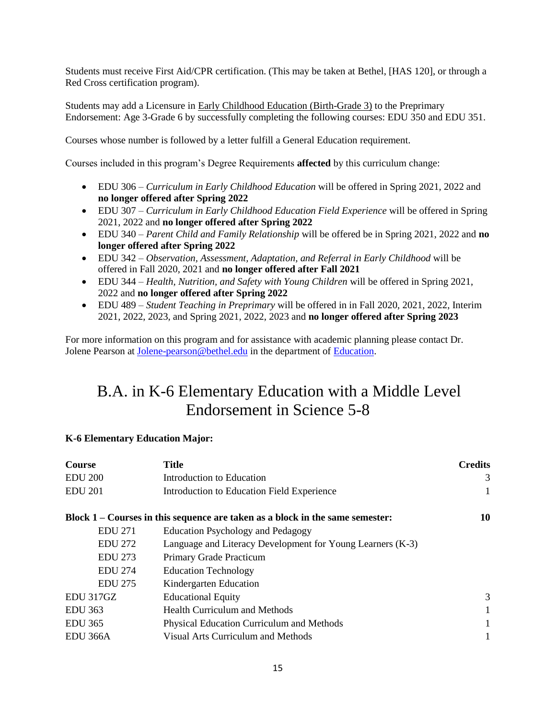Students must receive First Aid/CPR certification. (This may be taken at Bethel, [HAS 120], or through a Red Cross certification program).

Students may add a Licensure in Early Childhood Education [\(Birth-Grade](https://catalog.bethel.edu/archive/2019-2020/arts-sciences/academic-programs-departments/education/middle-level-licensures/) 3) to the Preprimary Endorsement: Age 3-Grade 6 by successfully completing the following courses: EDU 350 and EDU 351.

Courses whose number is followed by a letter fulfill a General Education requirement.

Courses included in this program's Degree Requirements **affected** by this curriculum change:

- EDU 306 *Curriculum in Early Childhood Education* will be offered in Spring 2021, 2022 and **no longer offered after Spring 2022**
- EDU 307 *Curriculum in Early Childhood Education Field Experience* will be offered in Spring 2021, 2022 and **no longer offered after Spring 2022**
- EDU 340 *Parent Child and Family Relationship* will be offered be in Spring 2021, 2022 and **no longer offered after Spring 2022**
- EDU 342 *Observation, Assessment, Adaptation, and Referral in Early Childhood* will be offered in Fall 2020, 2021 and **no longer offered after Fall 2021**
- EDU 344 *Health, Nutrition, and Safety with Young Children* will be offered in Spring 2021, 2022 and **no longer offered after Spring 2022**
- EDU 489 *Student Teaching in Preprimary* will be offered in in Fall 2020, 2021, 2022, Interim 2021, 2022, 2023, and Spring 2021, 2022, 2023 and **no longer offered after Spring 2023**

For more information on this program and for assistance with academic planning please contact Dr. Jolene Pearson at [Jolene-pearson@bethel.edu](mailto:Jolene-pearson@bethel.edu) in the department of [Education.](https://www.bethel.edu/undergrad/academics/education/)

# B.A. in K-6 Elementary Education with a Middle Level Endorsement in Science 5-8

### **K-6 Elementary Education Major:**

| <b>Course</b>        | <b>Title</b>                                                                    | <b>Credits</b> |
|----------------------|---------------------------------------------------------------------------------|----------------|
| <b>EDU 200</b>       | Introduction to Education                                                       | 3              |
| <b>EDU 201</b>       | Introduction to Education Field Experience                                      | 1              |
|                      | Block $1 -$ Courses in this sequence are taken as a block in the same semester: | 10             |
| <b>EDU 271</b>       | <b>Education Psychology and Pedagogy</b>                                        |                |
| <b>EDU 272</b>       | Language and Literacy Development for Young Learners (K-3)                      |                |
| <b>EDU 273</b>       | Primary Grade Practicum                                                         |                |
| <b>EDU 274</b>       | <b>Education Technology</b>                                                     |                |
| <b>EDU 275</b>       | Kindergarten Education                                                          |                |
| EDU 317GZ            | <b>Educational Equity</b>                                                       | 3              |
| <b>EDU 363</b>       | <b>Health Curriculum and Methods</b>                                            | 1              |
| <b>EDU 365</b>       | Physical Education Curriculum and Methods                                       |                |
| EDU <sub>366</sub> A | Visual Arts Curriculum and Methods                                              |                |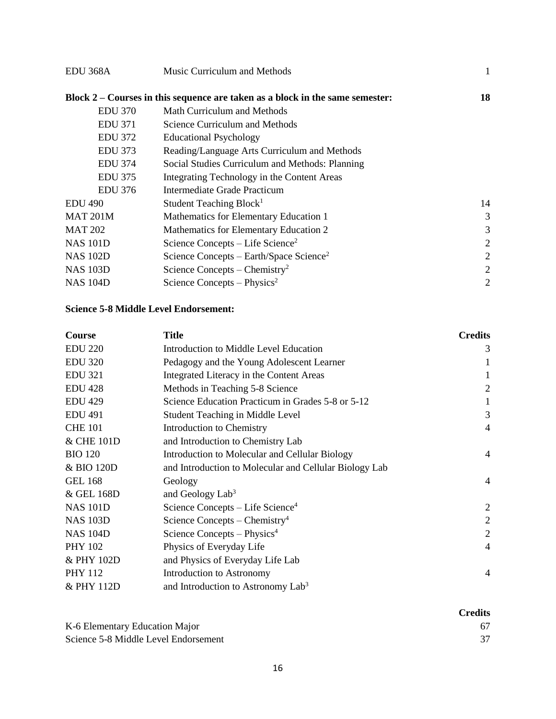| EDU <sub>368</sub> A | Music Curriculum and Methods                                                  | 1              |
|----------------------|-------------------------------------------------------------------------------|----------------|
|                      | Block 2 – Courses in this sequence are taken as a block in the same semester: | 18             |
| <b>EDU 370</b>       | Math Curriculum and Methods                                                   |                |
| <b>EDU 371</b>       | Science Curriculum and Methods                                                |                |
| <b>EDU 372</b>       | <b>Educational Psychology</b>                                                 |                |
| <b>EDU 373</b>       | Reading/Language Arts Curriculum and Methods                                  |                |
| <b>EDU 374</b>       | Social Studies Curriculum and Methods: Planning                               |                |
| <b>EDU 375</b>       | Integrating Technology in the Content Areas                                   |                |
| <b>EDU 376</b>       | Intermediate Grade Practicum                                                  |                |
| <b>EDU 490</b>       | Student Teaching Block <sup>1</sup>                                           | 14             |
| <b>MAT 201M</b>      | Mathematics for Elementary Education 1                                        | 3              |
| <b>MAT 202</b>       | Mathematics for Elementary Education 2                                        | 3              |
| <b>NAS 101D</b>      | Science Concepts – Life Science <sup>2</sup>                                  | 2              |
| <b>NAS 102D</b>      | Science Concepts – Earth/Space Science <sup>2</sup>                           | 2              |
| <b>NAS 103D</b>      | Science Concepts – Chemistry <sup>2</sup>                                     | $\overline{2}$ |
| <b>NAS 104D</b>      | Science Concepts – Physics <sup>2</sup>                                       | $\overline{2}$ |

### **Science 5-8 Middle Level Endorsement:**

| <b>Course</b>   | <b>Title</b>                                           | <b>Credits</b> |
|-----------------|--------------------------------------------------------|----------------|
| <b>EDU 220</b>  | Introduction to Middle Level Education                 | 3              |
| <b>EDU 320</b>  | Pedagogy and the Young Adolescent Learner              |                |
| <b>EDU 321</b>  | Integrated Literacy in the Content Areas               |                |
| <b>EDU 428</b>  | Methods in Teaching 5-8 Science                        | $\overline{2}$ |
| <b>EDU 429</b>  | Science Education Practicum in Grades 5-8 or 5-12      |                |
| <b>EDU 491</b>  | <b>Student Teaching in Middle Level</b>                | 3              |
| <b>CHE 101</b>  | <b>Introduction to Chemistry</b>                       | $\overline{4}$ |
| & CHE 101D      | and Introduction to Chemistry Lab                      |                |
| <b>BIO 120</b>  | Introduction to Molecular and Cellular Biology         | $\overline{4}$ |
| & BIO 120D      | and Introduction to Molecular and Cellular Biology Lab |                |
| <b>GEL 168</b>  | Geology                                                | $\overline{4}$ |
| & GEL 168D      | and Geology $Lab3$                                     |                |
| <b>NAS 101D</b> | Science Concepts $-$ Life Science <sup>4</sup>         | $\overline{2}$ |
| <b>NAS 103D</b> | Science Concepts – Chemistry <sup>4</sup>              | $\overline{2}$ |
| <b>NAS 104D</b> | Science Concepts $-$ Physics <sup>4</sup>              | $\overline{2}$ |
| <b>PHY 102</b>  | Physics of Everyday Life                               | $\overline{4}$ |
| & PHY 102D      | and Physics of Everyday Life Lab                       |                |
| <b>PHY 112</b>  | Introduction to Astronomy                              | 4              |
| & PHY 112D      | and Introduction to Astronomy Lab <sup>3</sup>         |                |

|                                      | <b>Credits</b> |
|--------------------------------------|----------------|
| K-6 Elementary Education Major       | 67             |
| Science 5-8 Middle Level Endorsement |                |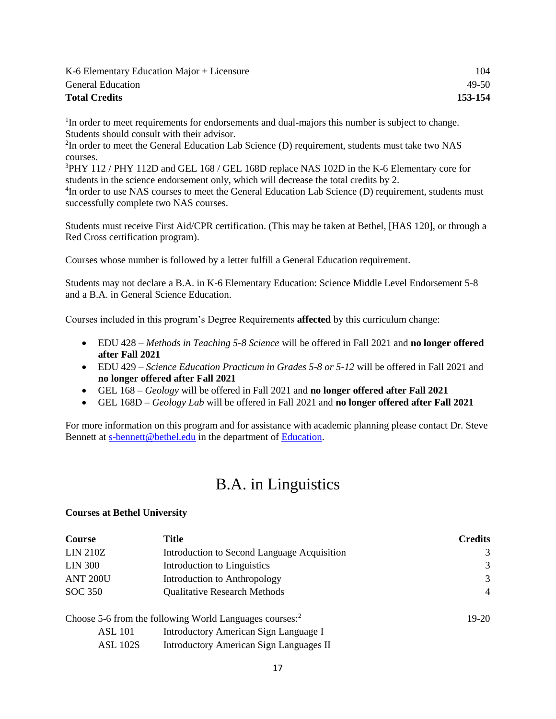| K-6 Elementary Education Major + Licensure | 104     |
|--------------------------------------------|---------|
| <b>General Education</b>                   | $49-50$ |
| <b>Total Credits</b>                       | 153-154 |

<sup>1</sup>In order to meet requirements for endorsements and dual-majors this number is subject to change. Students should consult with their advisor.

 ${}^{2}$ In order to meet the General Education Lab Science (D) requirement, students must take two NAS courses.

<sup>3</sup>PHY 112 / PHY 112D and GEL 168 / GEL 168D replace NAS 102D in the K-6 Elementary core for students in the science endorsement only, which will decrease the total credits by 2.

<sup>4</sup>In order to use NAS courses to meet the General Education Lab Science (D) requirement, students must successfully complete two NAS courses.

Students must receive First Aid/CPR certification. (This may be taken at Bethel, [HAS 120], or through a Red Cross certification program).

Courses whose number is followed by a letter fulfill a General Education requirement.

Students may not declare a B.A. in K-6 Elementary Education: Science Middle Level Endorsement 5-8 and a B.A. in General Science Education.

Courses included in this program's Degree Requirements **affected** by this curriculum change:

- EDU 428 *Methods in Teaching 5-8 Science* will be offered in Fall 2021 and **no longer offered after Fall 2021**
- EDU 429 *Science Education Practicum in Grades 5-8 or 5-12* will be offered in Fall 2021 and **no longer offered after Fall 2021**
- GEL 168 *Geology* will be offered in Fall 2021 and **no longer offered after Fall 2021**
- GEL 168D *Geology Lab* will be offered in Fall 2021 and **no longer offered after Fall 2021**

For more information on this program and for assistance with academic planning please contact Dr. Steve Bennett at [s-bennett@bethel.edu](mailto:s-bennett@bethel.edu) in the department of [Education.](https://www.bethel.edu/undergrad/academics/education/)

# B.A. in Linguistics

### **Courses at Bethel University**

| <b>Course</b>   | Title                                                               | <b>Credits</b> |
|-----------------|---------------------------------------------------------------------|----------------|
| <b>LIN 210Z</b> | Introduction to Second Language Acquisition                         | 3              |
| <b>LIN 300</b>  | Introduction to Linguistics                                         | 3              |
| <b>ANT 200U</b> | Introduction to Anthropology                                        | 3              |
| SOC 350         | <b>Qualitative Research Methods</b>                                 | $\overline{4}$ |
|                 | Choose 5-6 from the following World Languages courses: <sup>2</sup> | $19-20$        |
| <b>ASL 101</b>  | Introductory American Sign Language I                               |                |
| <b>ASL 102S</b> | <b>Introductory American Sign Languages II</b>                      |                |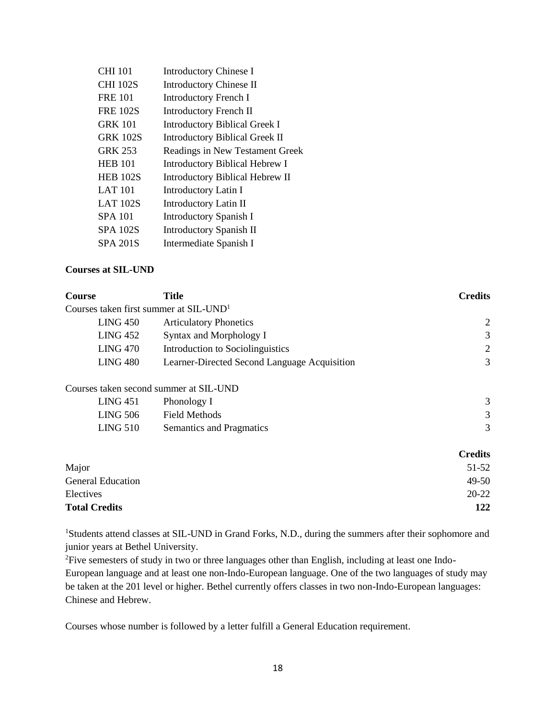| <b>CHI 101</b>  | <b>Introductory Chinese I</b>         |
|-----------------|---------------------------------------|
| <b>CHI 102S</b> | <b>Introductory Chinese II</b>        |
| <b>FRE 101</b>  | <b>Introductory French I</b>          |
| <b>FRE 102S</b> | <b>Introductory French II</b>         |
| <b>GRK 101</b>  | <b>Introductory Biblical Greek I</b>  |
| <b>GRK 102S</b> | <b>Introductory Biblical Greek II</b> |
| <b>GRK 253</b>  | Readings in New Testament Greek       |
| <b>HEB 101</b>  | <b>Introductory Biblical Hebrew I</b> |
| <b>HEB 102S</b> | Introductory Biblical Hebrew II       |
| <b>LAT 101</b>  | <b>Introductory Latin I</b>           |
| <b>LAT 102S</b> | Introductory Latin II                 |
| <b>SPA 101</b>  | Introductory Spanish I                |
| <b>SPA 102S</b> | Introductory Spanish II               |
| SPA 201S        | Intermediate Spanish I                |

### **Courses at SIL-UND**

| Course                                               | <b>Title</b>                                 | <b>Credits</b> |
|------------------------------------------------------|----------------------------------------------|----------------|
| Courses taken first summer at $SL$ -UND <sup>1</sup> |                                              |                |
| LING 450                                             | <b>Articulatory Phonetics</b>                | 2              |
| LING 452                                             | Syntax and Morphology I                      | 3              |
| <b>LING 470</b>                                      | Introduction to Sociolinguistics             | 2              |
| LING 480                                             | Learner-Directed Second Language Acquisition | 3              |
|                                                      | Courses taken second summer at SIL-UND       |                |
| LING 451                                             | Phonology I                                  | 3              |

| LING 506 | Field Methods            |  |
|----------|--------------------------|--|
| LING 510 | Semantics and Pragmatics |  |

|                          | <b>Credits</b> |
|--------------------------|----------------|
| Major                    | 51-52          |
| <b>General Education</b> | $49 - 50$      |
| Electives                | $20 - 22$      |
| <b>Total Credits</b>     | 122            |

<sup>1</sup>Students attend classes at SIL-UND in Grand Forks, N.D., during the summers after their sophomore and junior years at Bethel University.

<sup>2</sup>Five semesters of study in two or three languages other than English, including at least one Indo-European language and at least one non-Indo-European language. One of the two languages of study may be taken at the 201 level or higher. Bethel currently offers classes in two non-Indo-European languages: Chinese and Hebrew.

Courses whose number is followed by a letter fulfill a General Education requirement.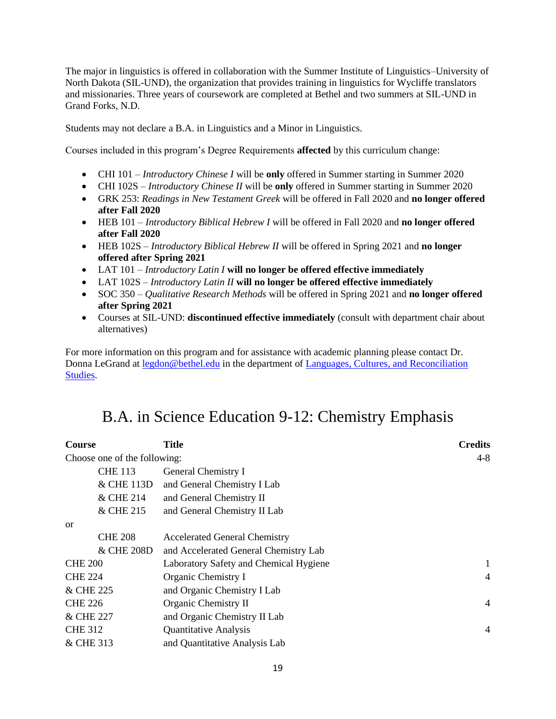The major in linguistics is offered in collaboration with the Summer Institute of Linguistics–University of North Dakota (SIL-UND), the organization that provides training in linguistics for Wycliffe translators and missionaries. Three years of coursework are completed at Bethel and two summers at SIL-UND in Grand Forks, N.D.

Students may not declare a B.A. in Linguistics and a Minor in Linguistics.

Courses included in this program's Degree Requirements **affected** by this curriculum change:

- CHI 101 *Introductory Chinese I* will be **only** offered in Summer starting in Summer 2020
- CHI 102S *Introductory Chinese II* will be **only** offered in Summer starting in Summer 2020
- GRK 253: *Readings in New Testament Greek* will be offered in Fall 2020 and **no longer offered after Fall 2020**
- HEB 101 *Introductory Biblical Hebrew I* will be offered in Fall 2020 and **no longer offered after Fall 2020**
- HEB 102S *Introductory Biblical Hebrew II* will be offered in Spring 2021 and **no longer offered after Spring 2021**
- LAT 101 *Introductory Latin I* **will no longer be offered effective immediately**
- LAT 102S *Introductory Latin II* **will no longer be offered effective immediately**
- SOC 350 *Qualitative Research Methods* will be offered in Spring 2021 and **no longer offered after Spring 2021**
- Courses at SIL-UND: **discontinued effective immediately** (consult with department chair about alternatives)

For more information on this program and for assistance with academic planning please contact Dr. Donna LeGrand at [legdon@bethel.edu](mailto:legdon@bethel.edu) in the department of Languages, Cultures, and Reconciliation [Studies.](https://www.bethel.edu/undergrad/academics/languages-cultures-rec-studies/)

## B.A. in Science Education 9-12: Chemistry Emphasis

| <b>Course</b>                | <b>Title</b>                           | <b>Credits</b> |
|------------------------------|----------------------------------------|----------------|
| Choose one of the following: |                                        | $4 - 8$        |
| <b>CHE 113</b>               | General Chemistry I                    |                |
| & CHE 113D                   | and General Chemistry I Lab            |                |
| & CHE 214                    | and General Chemistry II               |                |
| & CHE 215                    | and General Chemistry II Lab           |                |
| <sub>or</sub>                |                                        |                |
| <b>CHE 208</b>               | <b>Accelerated General Chemistry</b>   |                |
| & CHE 208D                   | and Accelerated General Chemistry Lab  |                |
| <b>CHE 200</b>               | Laboratory Safety and Chemical Hygiene | $\mathbf{1}$   |
| <b>CHE 224</b>               | Organic Chemistry I                    | $\overline{4}$ |
| & CHE 225                    | and Organic Chemistry I Lab            |                |
| <b>CHE 226</b>               | Organic Chemistry II                   | $\overline{4}$ |
| & CHE 227                    | and Organic Chemistry II Lab           |                |
| <b>CHE 312</b>               | Quantitative Analysis                  | $\overline{4}$ |
| & CHE 313                    | and Quantitative Analysis Lab          |                |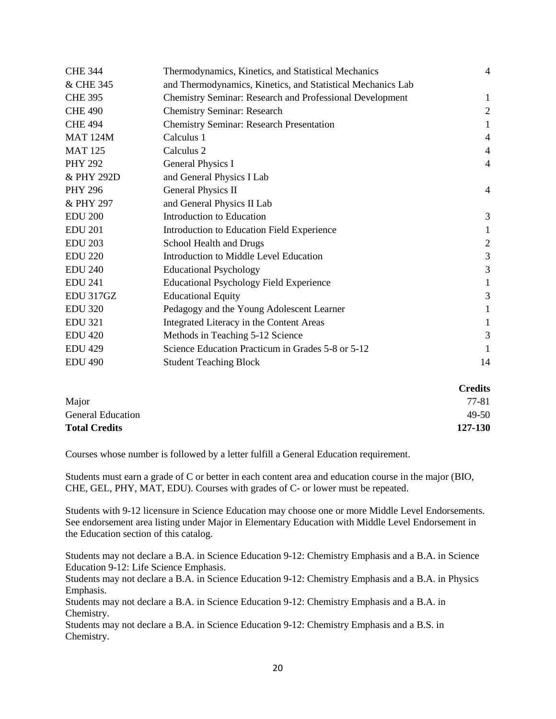| <b>CHE 344</b>  | Thermodynamics, Kinetics, and Statistical Mechanics             | 4              |
|-----------------|-----------------------------------------------------------------|----------------|
| & CHE 345       | and Thermodynamics, Kinetics, and Statistical Mechanics Lab     |                |
| <b>CHE 395</b>  | <b>Chemistry Seminar: Research and Professional Development</b> | 1              |
| <b>CHE 490</b>  | <b>Chemistry Seminar: Research</b>                              | $\overline{2}$ |
| <b>CHE 494</b>  | <b>Chemistry Seminar: Research Presentation</b>                 | 1              |
| <b>MAT 124M</b> | Calculus 1                                                      | 4              |
| <b>MAT 125</b>  | Calculus 2                                                      | 4              |
| <b>PHY 292</b>  | General Physics I                                               | $\overline{4}$ |
| & PHY 292D      | and General Physics I Lab                                       |                |
| <b>PHY 296</b>  | General Physics II                                              | 4              |
| & PHY 297       | and General Physics II Lab                                      |                |
| <b>EDU 200</b>  | Introduction to Education                                       | 3              |
| <b>EDU 201</b>  | Introduction to Education Field Experience                      | 1              |
| <b>EDU 203</b>  | School Health and Drugs                                         | $\sqrt{2}$     |
| <b>EDU 220</b>  | Introduction to Middle Level Education                          | 3              |
| <b>EDU 240</b>  | <b>Educational Psychology</b>                                   | 3              |
| <b>EDU 241</b>  | <b>Educational Psychology Field Experience</b>                  | 1              |
| EDU 317GZ       | <b>Educational Equity</b>                                       | 3              |
| <b>EDU 320</b>  | Pedagogy and the Young Adolescent Learner                       | 1              |
| <b>EDU 321</b>  | Integrated Literacy in the Content Areas                        | 1              |
| <b>EDU 420</b>  | Methods in Teaching 5-12 Science                                | 3              |
| <b>EDU 429</b>  | Science Education Practicum in Grades 5-8 or 5-12               | 1              |
| <b>EDU 490</b>  | <b>Student Teaching Block</b>                                   | 14             |
|                 |                                                                 |                |

#### **Credits**

| -------   |
|-----------|
| 77-81     |
| $49 - 50$ |
| 127-130   |
|           |

Courses whose number is followed by a letter fulfill a General Education requirement.

Students must earn a grade of C or better in each content area and education course in the major (BIO, CHE, GEL, PHY, MAT, EDU). Courses with grades of C- or lower must be repeated.

Students with 9-12 licensure in Science Education may choose one or more Middle Level Endorsements. See endorsement area listing under Major in Elementary Education with Middle Level Endorsement in the Education section of this catalog.

Students may not declare a B.A. in Science Education 9-12: Chemistry Emphasis and a B.A. in Science Education 9-12: Life Science Emphasis.

Students may not declare a B.A. in Science Education 9-12: Chemistry Emphasis and a B.A. in Physics Emphasis.

Students may not declare a B.A. in Science Education 9-12: Chemistry Emphasis and a B.A. in Chemistry.

Students may not declare a B.A. in Science Education 9-12: Chemistry Emphasis and a B.S. in Chemistry.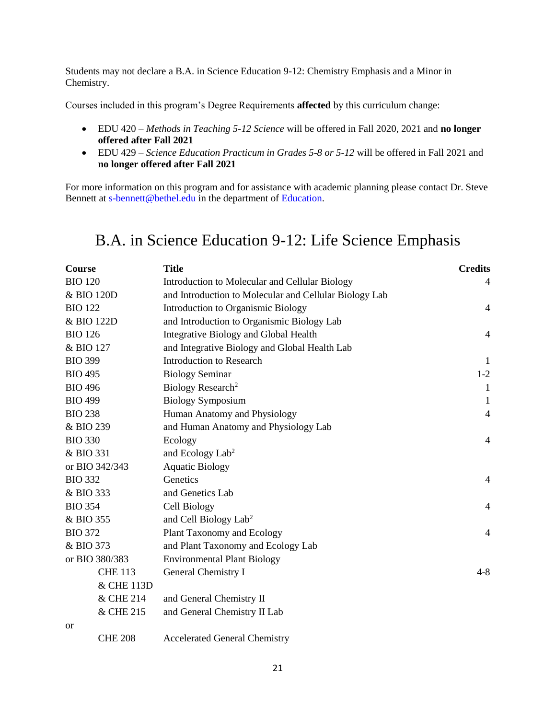Students may not declare a B.A. in Science Education 9-12: Chemistry Emphasis and a Minor in Chemistry.

Courses included in this program's Degree Requirements **affected** by this curriculum change:

- EDU 420 *Methods in Teaching 5-12 Science* will be offered in Fall 2020, 2021 and **no longer offered after Fall 2021**
- EDU 429 *Science Education Practicum in Grades 5-8 or 5-12* will be offered in Fall 2021 and **no longer offered after Fall 2021**

For more information on this program and for assistance with academic planning please contact Dr. Steve Bennett at [s-bennett@bethel.edu](mailto:s-bennett@bethel.edu) in the department of [Education.](https://www.bethel.edu/undergrad/academics/education/)

### B.A. in Science Education 9-12: Life Science Emphasis

| <b>Course</b>  | <b>Title</b>                                           | <b>Credits</b> |
|----------------|--------------------------------------------------------|----------------|
| <b>BIO 120</b> | Introduction to Molecular and Cellular Biology         | 4              |
| & BIO 120D     | and Introduction to Molecular and Cellular Biology Lab |                |
| <b>BIO 122</b> | Introduction to Organismic Biology                     | 4              |
| & BIO 122D     | and Introduction to Organismic Biology Lab             |                |
| <b>BIO 126</b> | Integrative Biology and Global Health                  | $\overline{4}$ |
| & BIO 127      | and Integrative Biology and Global Health Lab          |                |
| <b>BIO 399</b> | <b>Introduction to Research</b>                        | $\mathbf{I}$   |
| <b>BIO 495</b> | <b>Biology Seminar</b>                                 | $1-2$          |
| <b>BIO 496</b> | Biology Research <sup>2</sup>                          | $\mathbf{1}$   |
| <b>BIO 499</b> | <b>Biology Symposium</b>                               | -1             |
| <b>BIO 238</b> | Human Anatomy and Physiology                           | $\overline{4}$ |
| & BIO 239      | and Human Anatomy and Physiology Lab                   |                |
| <b>BIO 330</b> | Ecology                                                | 4              |
| & BIO 331      | and Ecology Lab <sup>2</sup>                           |                |
| or BIO 342/343 | <b>Aquatic Biology</b>                                 |                |
| <b>BIO 332</b> | Genetics                                               | 4              |
| & BIO 333      | and Genetics Lab                                       |                |
| <b>BIO 354</b> | Cell Biology                                           | $\overline{4}$ |
| & BIO 355      | and Cell Biology Lab <sup>2</sup>                      |                |
| <b>BIO 372</b> | <b>Plant Taxonomy and Ecology</b>                      | $\overline{4}$ |
| & BIO 373      | and Plant Taxonomy and Ecology Lab                     |                |
| or BIO 380/383 | <b>Environmental Plant Biology</b>                     |                |
| <b>CHE 113</b> | General Chemistry I                                    | $4 - 8$        |
| & CHE 113D     |                                                        |                |
| & CHE 214      | and General Chemistry II                               |                |
| & CHE 215      | and General Chemistry II Lab                           |                |
| or             |                                                        |                |
| <b>CHE 208</b> | <b>Accelerated General Chemistry</b>                   |                |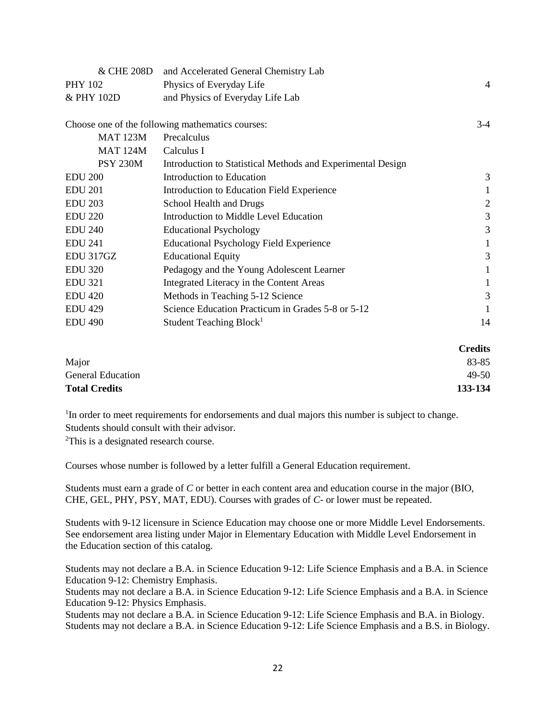| & CHE 208D      | and Accelerated General Chemistry Lab                       |                |
|-----------------|-------------------------------------------------------------|----------------|
| <b>PHY 102</b>  | Physics of Everyday Life                                    | 4              |
| & PHY 102D      | and Physics of Everyday Life Lab                            |                |
|                 |                                                             |                |
|                 | Choose one of the following mathematics courses:            | $3-4$          |
| <b>MAT 123M</b> | Precalculus                                                 |                |
| <b>MAT 124M</b> | Calculus I                                                  |                |
| <b>PSY 230M</b> | Introduction to Statistical Methods and Experimental Design |                |
| <b>EDU 200</b>  | Introduction to Education                                   | 3              |
| <b>EDU 201</b>  | Introduction to Education Field Experience                  |                |
| <b>EDU 203</b>  | School Health and Drugs                                     | $\overline{c}$ |
| <b>EDU 220</b>  | Introduction to Middle Level Education                      | 3              |
| <b>EDU 240</b>  | <b>Educational Psychology</b>                               | 3              |
| <b>EDU 241</b>  | <b>Educational Psychology Field Experience</b>              | 1              |
| EDU 317GZ       | <b>Educational Equity</b>                                   | 3              |
| <b>EDU 320</b>  | Pedagogy and the Young Adolescent Learner                   |                |
| <b>EDU 321</b>  | Integrated Literacy in the Content Areas                    |                |
| <b>EDU 420</b>  | Methods in Teaching 5-12 Science                            | 3              |
| <b>EDU 429</b>  | Science Education Practicum in Grades 5-8 or 5-12           | 1              |
| <b>EDU 490</b>  | Student Teaching Block <sup>1</sup>                         | 14             |
|                 |                                                             |                |

|                          | <b>Credits</b> |
|--------------------------|----------------|
| Major                    | 83-85          |
| <b>General Education</b> | 49-50          |
| <b>Total Credits</b>     | 133-134        |

<sup>1</sup>In order to meet requirements for endorsements and dual majors this number is subject to change. Students should consult with their advisor.

<sup>2</sup>This is a designated research course.

Courses whose number is followed by a letter fulfill a General Education requirement.

Students must earn a grade of *C* or better in each content area and education course in the major (BIO, CHE, GEL, PHY, PSY, MAT, EDU). Courses with grades of *C-* or lower must be repeated.

Students with 9-12 licensure in Science Education may choose one or more Middle Level Endorsements. See endorsement area listing under Major in Elementary Education with Middle Level Endorsement in the Education section of this catalog.

Students may not declare a B.A. in Science Education 9-12: Life Science Emphasis and a B.A. in Science Education 9-12: Chemistry Emphasis.

Students may not declare a B.A. in Science Education 9-12: Life Science Emphasis and a B.A. in Science Education 9-12: Physics Emphasis.

Students may not declare a B.A. in Science Education 9-12: Life Science Emphasis and B.A. in Biology. Students may not declare a B.A. in Science Education 9-12: Life Science Emphasis and a B.S. in Biology.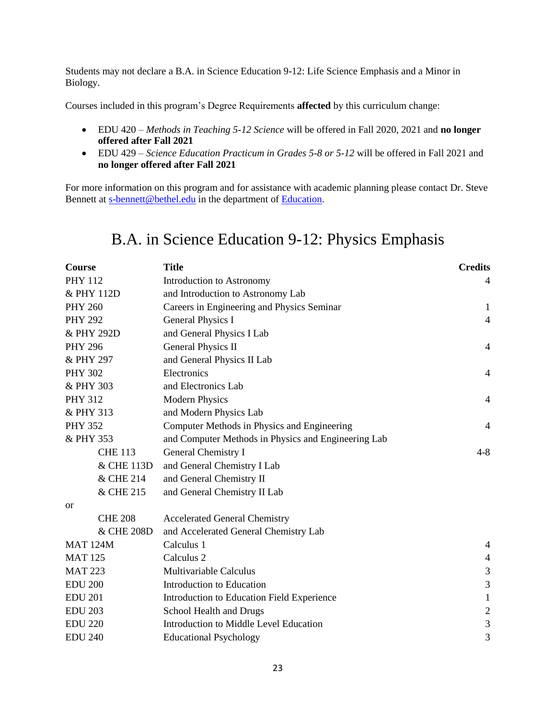Students may not declare a B.A. in Science Education 9-12: Life Science Emphasis and a Minor in Biology.

Courses included in this program's Degree Requirements **affected** by this curriculum change:

- EDU 420 *Methods in Teaching 5-12 Science* will be offered in Fall 2020, 2021 and **no longer offered after Fall 2021**
- EDU 429 *Science Education Practicum in Grades 5-8 or 5-12* will be offered in Fall 2021 and **no longer offered after Fall 2021**

For more information on this program and for assistance with academic planning please contact Dr. Steve Bennett at [s-bennett@bethel.edu](mailto:s-bennett@bethel.edu) in the department of [Education.](https://www.bethel.edu/undergrad/academics/education/)

## B.A. in Science Education 9-12: Physics Emphasis

| <b>Course</b>   | <b>Title</b>                                        | <b>Credits</b> |
|-----------------|-----------------------------------------------------|----------------|
| <b>PHY 112</b>  | Introduction to Astronomy                           | 4              |
| & PHY 112D      | and Introduction to Astronomy Lab                   |                |
| <b>PHY 260</b>  | Careers in Engineering and Physics Seminar          | 1              |
| <b>PHY 292</b>  | <b>General Physics I</b>                            | $\overline{4}$ |
| & PHY 292D      | and General Physics I Lab                           |                |
| <b>PHY 296</b>  | General Physics II                                  | $\overline{4}$ |
| & PHY 297       | and General Physics II Lab                          |                |
| <b>PHY 302</b>  | Electronics                                         | 4              |
| & PHY 303       | and Electronics Lab                                 |                |
| <b>PHY 312</b>  | <b>Modern Physics</b>                               | 4              |
| & PHY 313       | and Modern Physics Lab                              |                |
| <b>PHY 352</b>  | Computer Methods in Physics and Engineering         | $\overline{4}$ |
| & PHY 353       | and Computer Methods in Physics and Engineering Lab |                |
| <b>CHE 113</b>  | General Chemistry I                                 | $4 - 8$        |
| & CHE 113D      | and General Chemistry I Lab                         |                |
| & CHE 214       | and General Chemistry II                            |                |
| & CHE 215       | and General Chemistry II Lab                        |                |
| <b>or</b>       |                                                     |                |
| <b>CHE 208</b>  | <b>Accelerated General Chemistry</b>                |                |
| & CHE 208D      | and Accelerated General Chemistry Lab               |                |
| <b>MAT 124M</b> | Calculus 1                                          | 4              |
| <b>MAT 125</b>  | Calculus 2                                          | $\overline{4}$ |
| <b>MAT 223</b>  | Multivariable Calculus                              | $\mathfrak{Z}$ |
| <b>EDU 200</b>  | Introduction to Education                           | 3              |
| <b>EDU 201</b>  | Introduction to Education Field Experience          | $\mathbf{1}$   |
| <b>EDU 203</b>  | School Health and Drugs                             | $\overline{2}$ |
| <b>EDU 220</b>  | Introduction to Middle Level Education              | $\mathfrak{Z}$ |
| <b>EDU 240</b>  | <b>Educational Psychology</b>                       | 3              |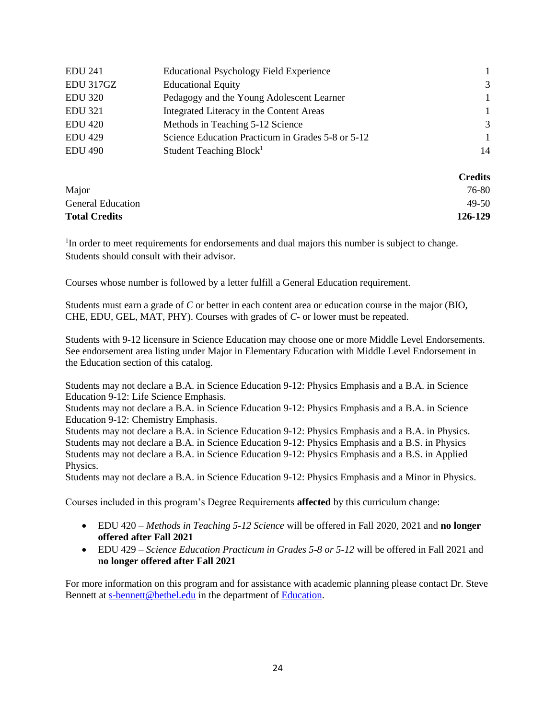| <b>EDU 241</b> | <b>Educational Psychology Field Experience</b>    |               |
|----------------|---------------------------------------------------|---------------|
| EDU 317GZ      | <b>Educational Equity</b>                         | 3             |
| <b>EDU 320</b> | Pedagogy and the Young Adolescent Learner         | $\mathbf{1}$  |
| <b>EDU 321</b> | Integrated Literacy in the Content Areas          | $\mathbf{1}$  |
| <b>EDU 420</b> | Methods in Teaching 5-12 Science                  | $\mathcal{R}$ |
| <b>EDU 429</b> | Science Education Practicum in Grades 5-8 or 5-12 |               |
| <b>EDU 490</b> | Student Teaching Block <sup>1</sup>               | 14            |
|                |                                                   |               |

|                          | <b>Credits</b> |
|--------------------------|----------------|
| Major                    | 76-80          |
| <b>General Education</b> | 49-50          |
| <b>Total Credits</b>     | 126-129        |

<sup>1</sup>In order to meet requirements for endorsements and dual majors this number is subject to change. Students should consult with their advisor.

Courses whose number is followed by a letter fulfill a General Education requirement.

Students must earn a grade of *C* or better in each content area or education course in the major (BIO, CHE, EDU, GEL, MAT, PHY). Courses with grades of *C-* or lower must be repeated.

Students with 9-12 licensure in Science Education may choose one or more Middle Level Endorsements. See endorsement area listing under Major in Elementary Education with Middle Level Endorsement in the Education section of this catalog.

Students may not declare a B.A. in Science Education 9-12: Physics Emphasis and a B.A. in Science Education 9-12: Life Science Emphasis.

Students may not declare a B.A. in Science Education 9-12: Physics Emphasis and a B.A. in Science Education 9-12: Chemistry Emphasis.

Students may not declare a B.A. in Science Education 9-12: Physics Emphasis and a B.A. in Physics. Students may not declare a B.A. in Science Education 9-12: Physics Emphasis and a B.S. in Physics Students may not declare a B.A. in Science Education 9-12: Physics Emphasis and a B.S. in Applied Physics.

Students may not declare a B.A. in Science Education 9-12: Physics Emphasis and a Minor in Physics.

Courses included in this program's Degree Requirements **affected** by this curriculum change:

- EDU 420 *Methods in Teaching 5-12 Science* will be offered in Fall 2020, 2021 and **no longer offered after Fall 2021**
- EDU 429 *Science Education Practicum in Grades 5-8 or 5-12* will be offered in Fall 2021 and **no longer offered after Fall 2021**

For more information on this program and for assistance with academic planning please contact Dr. Steve Bennett at [s-bennett@bethel.edu](mailto:s-bennett@bethel.edu) in the department of [Education.](https://www.bethel.edu/undergrad/academics/education/)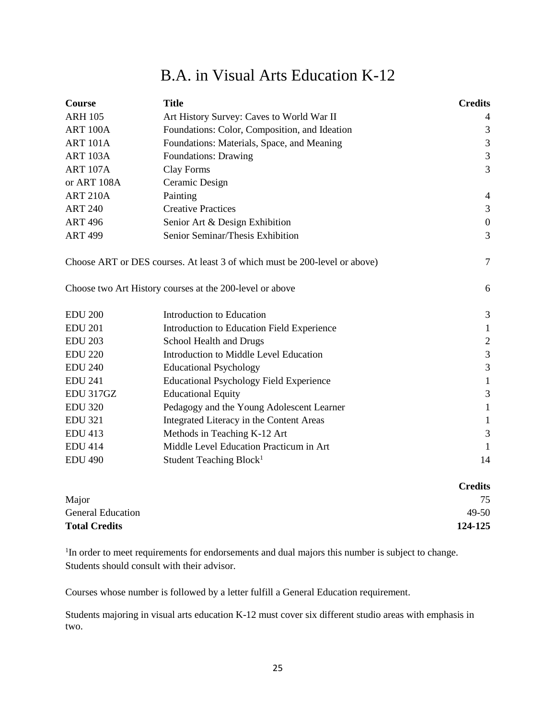# B.A. in Visual Arts Education K-12

| Course          | <b>Title</b>                                                               | <b>Credits</b>   |
|-----------------|----------------------------------------------------------------------------|------------------|
| <b>ARH 105</b>  | Art History Survey: Caves to World War II                                  | 4                |
| ART 100A        | Foundations: Color, Composition, and Ideation                              | 3                |
| <b>ART 101A</b> | Foundations: Materials, Space, and Meaning                                 | $\mathfrak{Z}$   |
| <b>ART 103A</b> | Foundations: Drawing                                                       | $\mathfrak{Z}$   |
| <b>ART 107A</b> | Clay Forms                                                                 | 3                |
| or ART 108A     | Ceramic Design                                                             |                  |
| <b>ART 210A</b> | Painting                                                                   | 4                |
| <b>ART 240</b>  | <b>Creative Practices</b>                                                  | 3                |
| <b>ART 496</b>  | Senior Art & Design Exhibition                                             | $\boldsymbol{0}$ |
| <b>ART 499</b>  | Senior Seminar/Thesis Exhibition                                           | 3                |
|                 | Choose ART or DES courses. At least 3 of which must be 200-level or above) | $\tau$           |
|                 | Choose two Art History courses at the 200-level or above                   | 6                |
| <b>EDU 200</b>  | Introduction to Education                                                  | 3                |
| <b>EDU 201</b>  | Introduction to Education Field Experience                                 | $\mathbf{1}$     |
| <b>EDU 203</b>  | School Health and Drugs                                                    | $\sqrt{2}$       |
| <b>EDU 220</b>  | Introduction to Middle Level Education                                     | $\mathfrak{Z}$   |
| <b>EDU 240</b>  | <b>Educational Psychology</b>                                              | 3                |
| <b>EDU 241</b>  | <b>Educational Psychology Field Experience</b>                             | $\mathbf{1}$     |
| EDU 317GZ       | <b>Educational Equity</b>                                                  | 3                |
| <b>EDU 320</b>  | Pedagogy and the Young Adolescent Learner                                  | 1                |
| <b>EDU 321</b>  | Integrated Literacy in the Content Areas                                   | 1                |
| <b>EDU 413</b>  | Methods in Teaching K-12 Art                                               | $\mathfrak{Z}$   |
| <b>EDU 414</b>  | Middle Level Education Practicum in Art                                    | 1                |
| <b>EDU 490</b>  | Student Teaching Block <sup>1</sup>                                        | 14               |
|                 |                                                                            | <b>Credits</b>   |

|                          | Creans  |
|--------------------------|---------|
| Major                    | 75      |
| <b>General Education</b> | 49-50   |
| <b>Total Credits</b>     | 124-125 |
|                          |         |

<sup>1</sup>In order to meet requirements for endorsements and dual majors this number is subject to change. Students should consult with their advisor.

Courses whose number is followed by a letter fulfill a General Education requirement.

Students majoring in visual arts education K-12 must cover six different studio areas with emphasis in two.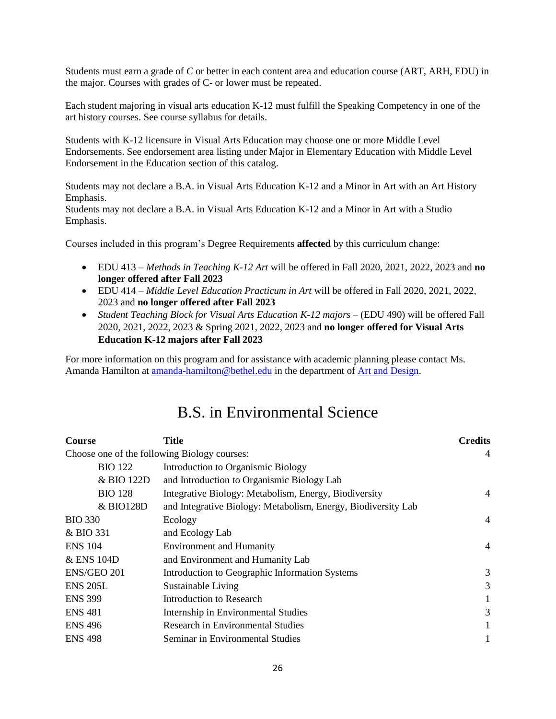Students must earn a grade of *C* or better in each content area and education course (ART, ARH, EDU) in the major. Courses with grades of C- or lower must be repeated.

Each student majoring in visual arts education K-12 must fulfill the Speaking Competency in one of the art history courses. See course syllabus for details.

Students with K-12 licensure in Visual Arts Education may choose one or more Middle Level Endorsements. See endorsement area listing under Major in Elementary Education with Middle Level Endorsement in the Education section of this catalog.

Students may not declare a B.A. in Visual Arts Education K-12 and a Minor in Art with an Art History Emphasis.

Students may not declare a B.A. in Visual Arts Education K-12 and a Minor in Art with a Studio Emphasis.

Courses included in this program's Degree Requirements **affected** by this curriculum change:

- EDU 413 *Methods in Teaching K-12 Art* will be offered in Fall 2020, 2021, 2022, 2023 and **no longer offered after Fall 2023**
- EDU 414 *Middle Level Education Practicum in Art* will be offered in Fall 2020, 2021, 2022, 2023 and **no longer offered after Fall 2023**
- *Student Teaching Block for Visual Arts Education K-12 majors –* (EDU 490) will be offered Fall 2020, 2021, 2022, 2023 & Spring 2021, 2022, 2023 and **no longer offered for Visual Arts Education K-12 majors after Fall 2023**

For more information on this program and for assistance with academic planning please contact Ms. Amanda Hamilton at [amanda-hamilton@bethel.edu](mailto:amanda-hamilton@bethel.edu) in the department of [Art and Design.](https://www.bethel.edu/undergrad/academics/art/)

## B.S. in Environmental Science

| <b>Course</b>                                | Title                                                         | <b>Credits</b> |
|----------------------------------------------|---------------------------------------------------------------|----------------|
| Choose one of the following Biology courses: |                                                               | 4              |
| <b>BIO</b> 122                               | Introduction to Organismic Biology                            |                |
| & BIO 122D                                   | and Introduction to Organismic Biology Lab                    |                |
| <b>BIO 128</b>                               | Integrative Biology: Metabolism, Energy, Biodiversity         | 4              |
| & BIO128D                                    | and Integrative Biology: Metabolism, Energy, Biodiversity Lab |                |
| <b>BIO 330</b>                               | Ecology                                                       | 4              |
| & BIO 331                                    | and Ecology Lab                                               |                |
| <b>ENS 104</b>                               | <b>Environment and Humanity</b>                               | 4              |
| & ENS 104D                                   | and Environment and Humanity Lab                              |                |
| ENS/GEO 201                                  | Introduction to Geographic Information Systems                | 3              |
| <b>ENS 205L</b>                              | Sustainable Living                                            | 3              |
| <b>ENS 399</b>                               | Introduction to Research                                      |                |
| <b>ENS 481</b>                               | Internship in Environmental Studies                           | 3              |
| <b>ENS 496</b>                               | Research in Environmental Studies                             |                |
| <b>ENS 498</b>                               | Seminar in Environmental Studies                              |                |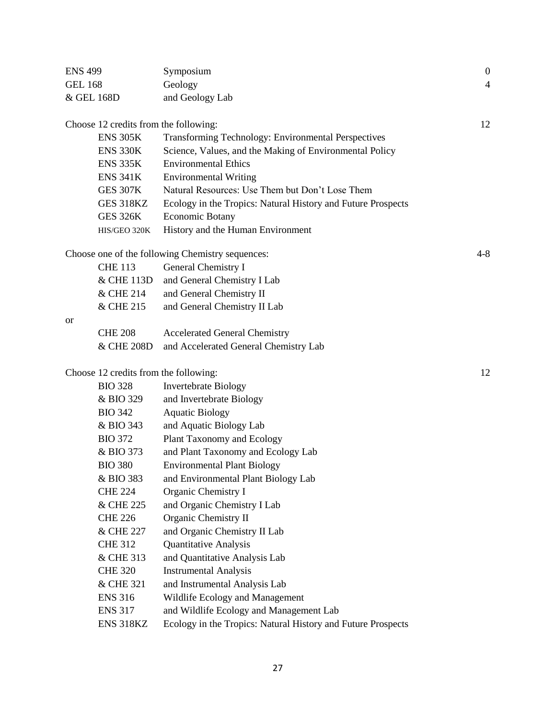| <b>ENS 499</b>                        | Symposium                                                    | $\boldsymbol{0}$ |
|---------------------------------------|--------------------------------------------------------------|------------------|
| <b>GEL 168</b>                        | Geology                                                      | 4                |
| & GEL 168D                            | and Geology Lab                                              |                  |
|                                       |                                                              |                  |
| Choose 12 credits from the following: |                                                              | 12               |
| <b>ENS 305K</b>                       | Transforming Technology: Environmental Perspectives          |                  |
| <b>ENS 330K</b>                       | Science, Values, and the Making of Environmental Policy      |                  |
| <b>ENS 335K</b>                       | <b>Environmental Ethics</b>                                  |                  |
| <b>ENS 341K</b>                       | <b>Environmental Writing</b>                                 |                  |
| <b>GES 307K</b>                       | Natural Resources: Use Them but Don't Lose Them              |                  |
| <b>GES 318KZ</b>                      | Ecology in the Tropics: Natural History and Future Prospects |                  |
| <b>GES 326K</b>                       | <b>Economic Botany</b>                                       |                  |
| HIS/GEO 320K                          | History and the Human Environment                            |                  |
|                                       | Choose one of the following Chemistry sequences:             | $4 - 8$          |
| <b>CHE 113</b>                        | General Chemistry I                                          |                  |
| & CHE 113D                            | and General Chemistry I Lab                                  |                  |
| & CHE 214                             | and General Chemistry II                                     |                  |
| & CHE 215                             | and General Chemistry II Lab                                 |                  |
| or                                    |                                                              |                  |
| <b>CHE 208</b>                        | <b>Accelerated General Chemistry</b>                         |                  |
| & CHE 208D                            | and Accelerated General Chemistry Lab                        |                  |
|                                       |                                                              |                  |
| Choose 12 credits from the following: |                                                              | 12               |
| <b>BIO 328</b>                        | <b>Invertebrate Biology</b>                                  |                  |
| & BIO 329                             | and Invertebrate Biology                                     |                  |
| <b>BIO 342</b>                        | <b>Aquatic Biology</b>                                       |                  |
| & BIO 343                             | and Aquatic Biology Lab                                      |                  |
| <b>BIO 372</b>                        | Plant Taxonomy and Ecology                                   |                  |
| & BIO 373                             | and Plant Taxonomy and Ecology Lab                           |                  |
| <b>BIO 380</b>                        | <b>Environmental Plant Biology</b>                           |                  |
| & BIO 383                             | and Environmental Plant Biology Lab                          |                  |
| <b>CHE 224</b>                        | Organic Chemistry I                                          |                  |
| & CHE 225                             | and Organic Chemistry I Lab                                  |                  |
| <b>CHE 226</b>                        | Organic Chemistry II                                         |                  |
| & CHE 227                             | and Organic Chemistry II Lab                                 |                  |
| <b>CHE 312</b>                        | <b>Quantitative Analysis</b>                                 |                  |
| & CHE 313                             | and Quantitative Analysis Lab                                |                  |
| <b>CHE 320</b>                        | <b>Instrumental Analysis</b>                                 |                  |
| & CHE 321                             | and Instrumental Analysis Lab                                |                  |
| <b>ENS 316</b>                        | Wildlife Ecology and Management                              |                  |
| <b>ENS 317</b>                        | and Wildlife Ecology and Management Lab                      |                  |
| ENS 318KZ                             |                                                              |                  |
|                                       | Ecology in the Tropics: Natural History and Future Prospects |                  |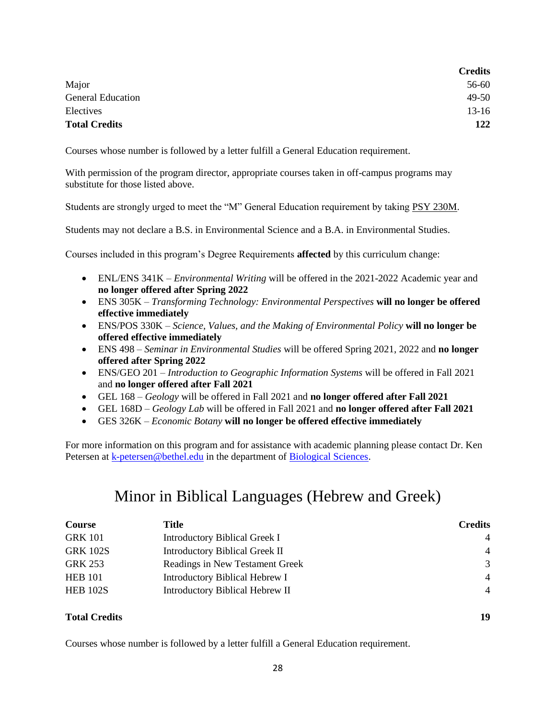| <b>Credits</b> |
|----------------|
| 56-60          |
| 49-50          |
| $13-16$        |
| 122            |
|                |

Courses whose number is followed by a letter fulfill a General Education requirement.

With permission of the program director, appropriate courses taken in off-campus programs may substitute for those listed above.

Students are strongly urged to meet the "M" General Education requirement by taking PSY [230M.](https://catalog.bethel.edu/search/?P=PSY%20230M)

Students may not declare a B.S. in Environmental Science and a B.A. in Environmental Studies.

Courses included in this program's Degree Requirements **affected** by this curriculum change:

- ENL/ENS 341K *Environmental Writing* will be offered in the 2021-2022 Academic year and **no longer offered after Spring 2022**
- ENS 305K *Transforming Technology: Environmental Perspectives* **will no longer be offered effective immediately**
- ENS/POS 330K *Science, Values, and the Making of Environmental Policy* **will no longer be offered effective immediately**
- ENS 498 *Seminar in Environmental Studies* will be offered Spring 2021, 2022 and **no longer offered after Spring 2022**
- ENS/GEO 201 *Introduction to Geographic Information Systems* will be offered in Fall 2021 and **no longer offered after Fall 2021**
- GEL 168 *Geology* will be offered in Fall 2021 and **no longer offered after Fall 2021**
- GEL 168D *Geology Lab* will be offered in Fall 2021 and **no longer offered after Fall 2021**
- GES 326K *Economic Botany* **will no longer be offered effective immediately**

For more information on this program and for assistance with academic planning please contact Dr. Ken Petersen a[t k-petersen@bethel.edu](mailto:k-petersen@bethel.edu) in the department of [Biological Sciences.](https://www.bethel.edu/undergrad/academics/biology/)

## Minor in Biblical Languages (Hebrew and Greek)

| <b>Course</b>        | Title                                 | <b>Credits</b> |
|----------------------|---------------------------------------|----------------|
| <b>GRK 101</b>       | <b>Introductory Biblical Greek I</b>  | $\overline{4}$ |
| <b>GRK 102S</b>      | <b>Introductory Biblical Greek II</b> | 4              |
| <b>GRK 253</b>       | Readings in New Testament Greek       | 3              |
| <b>HEB 101</b>       | <b>Introductory Biblical Hebrew I</b> | $\overline{4}$ |
| <b>HEB 102S</b>      | Introductory Biblical Hebrew II       | $\overline{4}$ |
| <b>Total Credits</b> |                                       | 19             |

Courses whose number is followed by a letter fulfill a General Education requirement.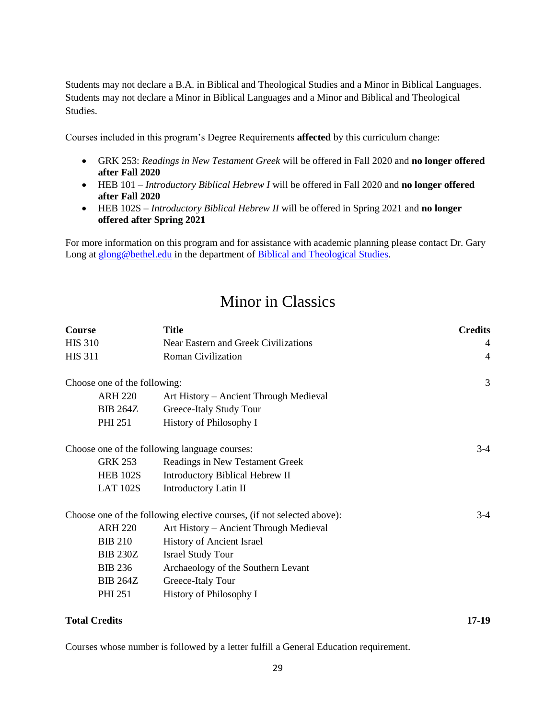Students may not declare a B.A. in Biblical and Theological Studies and a Minor in Biblical Languages. Students may not declare a Minor in Biblical Languages and a Minor and Biblical and Theological Studies.

Courses included in this program's Degree Requirements **affected** by this curriculum change:

- GRK 253: *Readings in New Testament Greek* will be offered in Fall 2020 and **no longer offered after Fall 2020**
- HEB 101 *Introductory Biblical Hebrew I* will be offered in Fall 2020 and **no longer offered after Fall 2020**
- HEB 102S *Introductory Biblical Hebrew II* will be offered in Spring 2021 and **no longer offered after Spring 2021**

For more information on this program and for assistance with academic planning please contact Dr. Gary Long at [glong@bethel.edu](mailto:glong@bethel.edu) in the department o[f Biblical and Theological Studies.](https://www.bethel.edu/undergrad/academics/biblical-theological/)

## Minor in Classics

| <b>Course</b>                | <b>Title</b>                                                           | <b>Credits</b> |
|------------------------------|------------------------------------------------------------------------|----------------|
| <b>HIS 310</b>               | Near Eastern and Greek Civilizations                                   | 4              |
| <b>HIS 311</b>               | <b>Roman Civilization</b>                                              | $\overline{4}$ |
| Choose one of the following: |                                                                        | 3              |
| <b>ARH 220</b>               | Art History – Ancient Through Medieval                                 |                |
| <b>BIB 264Z</b>              | Greece-Italy Study Tour                                                |                |
| <b>PHI 251</b>               | History of Philosophy I                                                |                |
|                              | Choose one of the following language courses:                          | $3-4$          |
| <b>GRK 253</b>               | Readings in New Testament Greek                                        |                |
| <b>HEB 102S</b>              | Introductory Biblical Hebrew II                                        |                |
| <b>LAT 102S</b>              | Introductory Latin II                                                  |                |
|                              | Choose one of the following elective courses, (if not selected above): | $3-4$          |
| <b>ARH 220</b>               | Art History – Ancient Through Medieval                                 |                |
| <b>BIB 210</b>               | History of Ancient Israel                                              |                |
| <b>BIB 230Z</b>              | <b>Israel Study Tour</b>                                               |                |
| <b>BIB 236</b>               | Archaeology of the Southern Levant                                     |                |
| <b>BIB 264Z</b>              | Greece-Italy Tour                                                      |                |
| <b>PHI 251</b>               | History of Philosophy I                                                |                |
|                              |                                                                        |                |

### **Total Credits 17-19**

Courses whose number is followed by a letter fulfill a General Education requirement.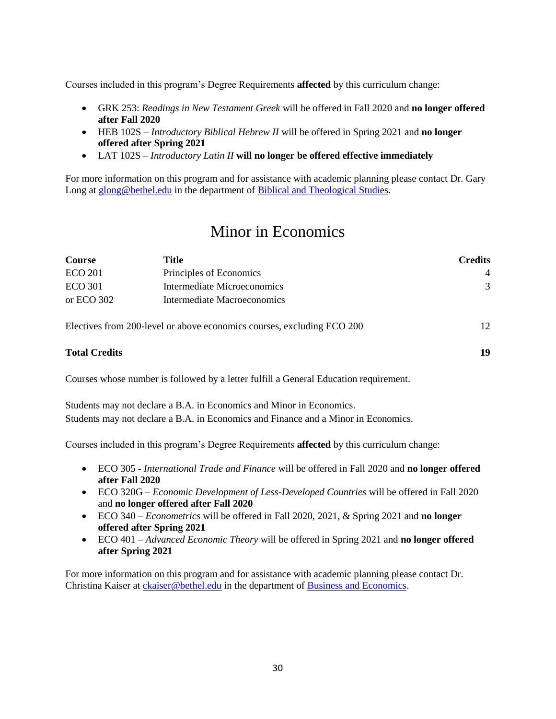Courses included in this program's Degree Requirements **affected** by this curriculum change:

- GRK 253: *Readings in New Testament Greek* will be offered in Fall 2020 and **no longer offered after Fall 2020**
- HEB 102S *Introductory Biblical Hebrew II* will be offered in Spring 2021 and **no longer offered after Spring 2021**
- LAT 102S *Introductory Latin II* **will no longer be offered effective immediately**

For more information on this program and for assistance with academic planning please contact Dr. Gary Long at [glong@bethel.edu](mailto:glong@bethel.edu) in the department o[f Biblical and Theological Studies.](https://www.bethel.edu/undergrad/academics/biblical-theological/)

## Minor in Economics

| Course         | Title                                                                  | <b>Credits</b> |
|----------------|------------------------------------------------------------------------|----------------|
| <b>ECO 201</b> | Principles of Economics                                                | $\overline{4}$ |
| <b>ECO 301</b> | Intermediate Microeconomics                                            | $\mathcal{R}$  |
| or ECO 302     | Intermediate Macroeconomics                                            |                |
|                | Electives from 200-level or above economics courses, excluding ECO 200 | 12             |

#### **Total Credits 19**

Courses whose number is followed by a letter fulfill a General Education requirement.

Students may not declare a B.A. in Economics and Minor in Economics. Students may not declare a B.A. in Economics and Finance and a Minor in Economics.

Courses included in this program's Degree Requirements **affected** by this curriculum change:

- ECO 305 *International Trade and Finance* will be offered in Fall 2020 and **no longer offered after Fall 2020**
- ECO 320G *Economic Development of Less-Developed Countries* will be offered in Fall 2020 and **no longer offered after Fall 2020**
- ECO 340 *Econometrics* will be offered in Fall 2020, 2021, & Spring 2021 and **no longer offered after Spring 2021**
- ECO 401 *Advanced Economic Theory* will be offered in Spring 2021 and **no longer offered after Spring 2021**

For more information on this program and for assistance with academic planning please contact Dr. Christina Kaiser at [ckaiser@bethel.edu](mailto:ckaiser@bethel.edu) in the department of [Business and Economics.](https://www.bethel.edu/undergrad/academics/business-economics/)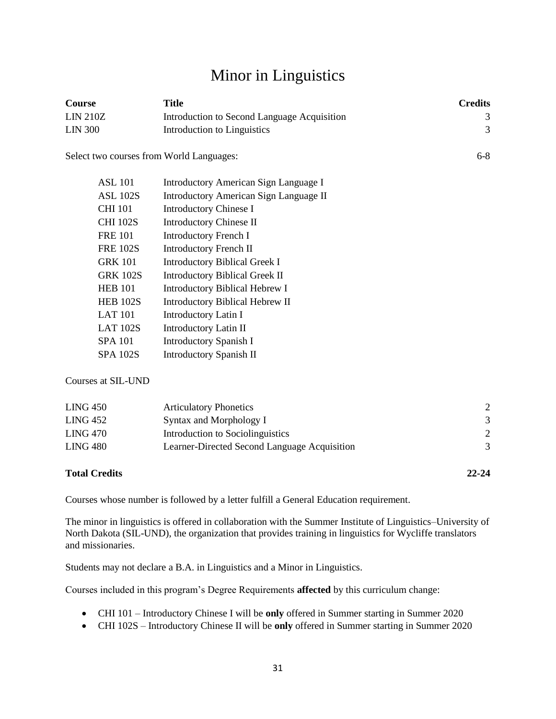# Minor in Linguistics

| Course                                   | <b>Title</b>                                 | <b>Credits</b> |
|------------------------------------------|----------------------------------------------|----------------|
| <b>LIN 210Z</b>                          | Introduction to Second Language Acquisition  | 3              |
| <b>LIN 300</b>                           | Introduction to Linguistics                  | 3              |
| Select two courses from World Languages: |                                              | $6 - 8$        |
| <b>ASL 101</b>                           | <b>Introductory American Sign Language I</b> |                |
| <b>ASL 102S</b>                          | Introductory American Sign Language II       |                |
| <b>CHI 101</b>                           | <b>Introductory Chinese I</b>                |                |
| <b>CHI 102S</b>                          | <b>Introductory Chinese II</b>               |                |
| <b>FRE 101</b>                           | <b>Introductory French I</b>                 |                |
| <b>FRE 102S</b>                          | Introductory French II                       |                |
| <b>GRK 101</b>                           | <b>Introductory Biblical Greek I</b>         |                |
| <b>GRK 102S</b>                          | <b>Introductory Biblical Greek II</b>        |                |
| <b>HEB 101</b>                           | <b>Introductory Biblical Hebrew I</b>        |                |
| <b>HEB 102S</b>                          | Introductory Biblical Hebrew II              |                |
| <b>LAT 101</b>                           | <b>Introductory Latin I</b>                  |                |
| <b>LAT 102S</b>                          | Introductory Latin II                        |                |
| <b>SPA 101</b>                           | <b>Introductory Spanish I</b>                |                |
| <b>SPA 102S</b>                          | Introductory Spanish II                      |                |
| Courses at SIL-UND                       |                                              |                |
| <b>LING 450</b>                          | <b>Articulatory Phonetics</b>                | $\overline{2}$ |

| LING 452 | Syntax and Morphology I                      |  |
|----------|----------------------------------------------|--|
| LING 470 | Introduction to Sociolinguistics             |  |
| LING 480 | Learner-Directed Second Language Acquisition |  |
|          |                                              |  |

### **Total Credits 22-24**

Courses whose number is followed by a letter fulfill a General Education requirement.

The minor in linguistics is offered in collaboration with the Summer Institute of Linguistics–University of North Dakota (SIL-UND), the organization that provides training in linguistics for Wycliffe translators and missionaries.

Students may not declare a B.A. in Linguistics and a Minor in Linguistics.

Courses included in this program's Degree Requirements **affected** by this curriculum change:

- CHI 101 Introductory Chinese I will be **only** offered in Summer starting in Summer 2020
- CHI 102S Introductory Chinese II will be **only** offered in Summer starting in Summer 2020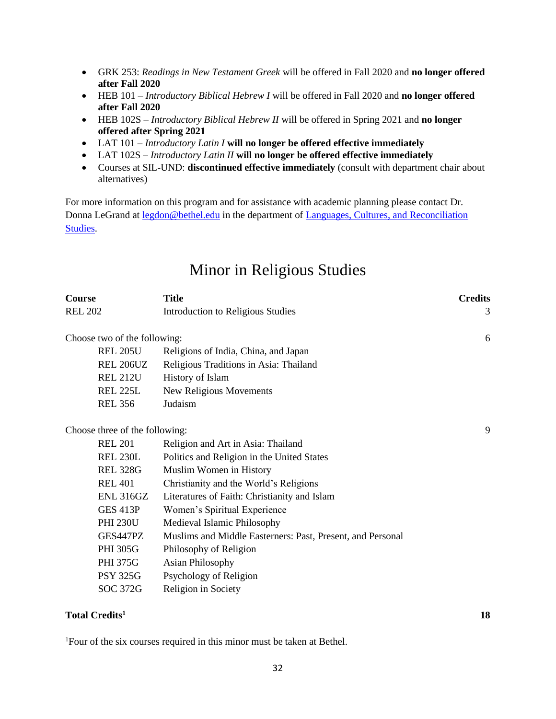- GRK 253: *Readings in New Testament Greek* will be offered in Fall 2020 and **no longer offered after Fall 2020**
- HEB 101 *Introductory Biblical Hebrew I* will be offered in Fall 2020 and **no longer offered after Fall 2020**
- HEB 102S *Introductory Biblical Hebrew II* will be offered in Spring 2021 and **no longer offered after Spring 2021**
- LAT 101 *Introductory Latin I* **will no longer be offered effective immediately**
- LAT 102S *Introductory Latin II* **will no longer be offered effective immediately**
- Courses at SIL-UND: **discontinued effective immediately** (consult with department chair about alternatives)

For more information on this program and for assistance with academic planning please contact Dr. Donna LeGrand at [legdon@bethel.edu](mailto:legdon@bethel.edu) in the department of [Languages, Cultures, and Reconciliation](https://www.bethel.edu/undergrad/academics/languages-cultures-rec-studies/)  [Studies.](https://www.bethel.edu/undergrad/academics/languages-cultures-rec-studies/)

### Minor in Religious Studies

| <b>Course</b>                  | <b>Title</b>                                               | <b>Credits</b> |
|--------------------------------|------------------------------------------------------------|----------------|
| <b>REL 202</b>                 | Introduction to Religious Studies                          | 3              |
| Choose two of the following:   |                                                            | 6              |
| <b>REL 205U</b>                | Religions of India, China, and Japan                       |                |
| <b>REL 206UZ</b>               | Religious Traditions in Asia: Thailand                     |                |
| <b>REL 212U</b>                | History of Islam                                           |                |
| <b>REL 225L</b>                |                                                            |                |
| <b>REL 356</b>                 | New Religious Movements<br>Judaism                         |                |
|                                |                                                            |                |
| Choose three of the following: |                                                            | 9              |
| <b>REL 201</b>                 | Religion and Art in Asia: Thailand                         |                |
| <b>REL 230L</b>                | Politics and Religion in the United States                 |                |
| <b>REL 328G</b>                | Muslim Women in History                                    |                |
| <b>REL 401</b>                 | Christianity and the World's Religions                     |                |
| <b>ENL 316GZ</b>               | Literatures of Faith: Christianity and Islam               |                |
| <b>GES 413P</b>                | Women's Spiritual Experience                               |                |
| <b>PHI 230U</b>                | Medieval Islamic Philosophy                                |                |
| GES447PZ                       | Muslims and Middle Easterners: Past, Present, and Personal |                |
| <b>PHI 305G</b>                | Philosophy of Religion                                     |                |
| <b>PHI 375G</b>                | <b>Asian Philosophy</b>                                    |                |
| <b>PSY 325G</b>                | Psychology of Religion                                     |                |
| SOC 372G                       | Religion in Society                                        |                |
|                                |                                                            |                |

### **Total Credits<sup>1</sup> 18**

1Four of the six courses required in this minor must be taken at Bethel.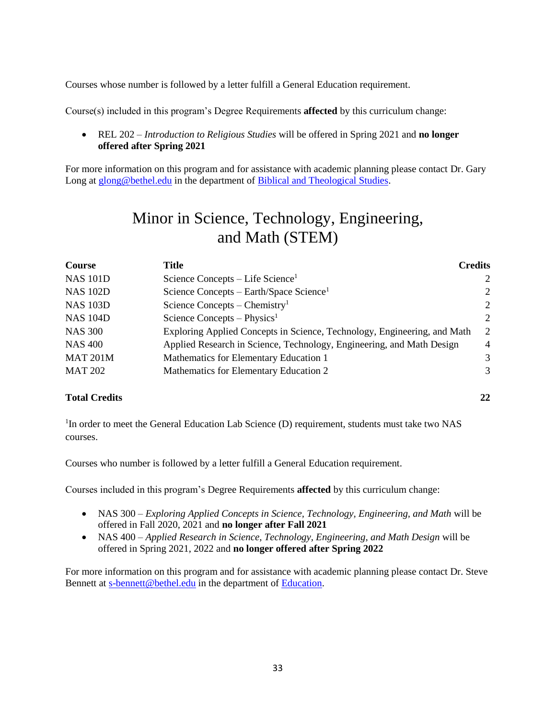Courses whose number is followed by a letter fulfill a General Education requirement.

Course(s) included in this program's Degree Requirements **affected** by this curriculum change:

• REL 202 – *Introduction to Religious Studies* will be offered in Spring 2021 and **no longer offered after Spring 2021**

For more information on this program and for assistance with academic planning please contact Dr. Gary Long at [glong@bethel.edu](mailto:glong@bethel.edu) in the department o[f Biblical and Theological Studies.](https://www.bethel.edu/undergrad/academics/biblical-theological/)

# Minor in Science, Technology, Engineering, and Math (STEM)

| <b>Course</b>   | Title                                                                    | <b>Credits</b> |
|-----------------|--------------------------------------------------------------------------|----------------|
| <b>NAS 101D</b> | Science Concepts – Life Science <sup>1</sup>                             | 2              |
| <b>NAS 102D</b> | Science Concepts – Earth/Space Science <sup>1</sup>                      | $\overline{2}$ |
| <b>NAS 103D</b> | Science Concepts – Chemistry <sup>1</sup>                                | $\overline{2}$ |
| <b>NAS 104D</b> | Science Concepts – Physics <sup>1</sup>                                  | $\overline{2}$ |
| <b>NAS 300</b>  | Exploring Applied Concepts in Science, Technology, Engineering, and Math | $\mathcal{D}$  |
| <b>NAS 400</b>  | Applied Research in Science, Technology, Engineering, and Math Design    | $\overline{4}$ |
| <b>MAT 201M</b> | Mathematics for Elementary Education 1                                   | 3              |
| <b>MAT 202</b>  | Mathematics for Elementary Education 2                                   | 3              |

### **Total Credits 22**

<sup>1</sup>In order to meet the General Education Lab Science (D) requirement, students must take two NAS courses.

Courses who number is followed by a letter fulfill a General Education requirement.

Courses included in this program's Degree Requirements **affected** by this curriculum change:

- NAS 300 *Exploring Applied Concepts in Science, Technology, Engineering, and Math* will be offered in Fall 2020, 2021 and **no longer after Fall 2021**
- NAS 400 *Applied Research in Science, Technology, Engineering, and Math Design* will be offered in Spring 2021, 2022 and **no longer offered after Spring 2022**

For more information on this program and for assistance with academic planning please contact Dr. Steve Bennett at [s-bennett@bethel.edu](mailto:s-bennett@bethel.edu) in the department of [Education.](https://www.bethel.edu/undergrad/academics/education/)